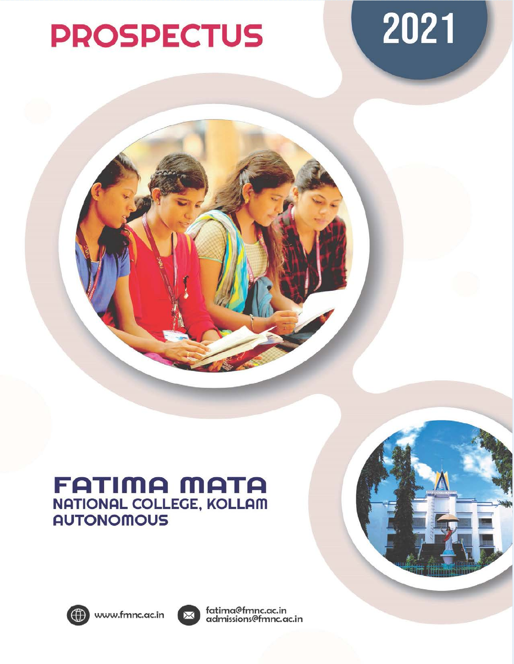# **PROSPECTUS**



## **FATIMA MATA** NATIONAL COLLEGE, KOLLAM **AUTONOMOUS**







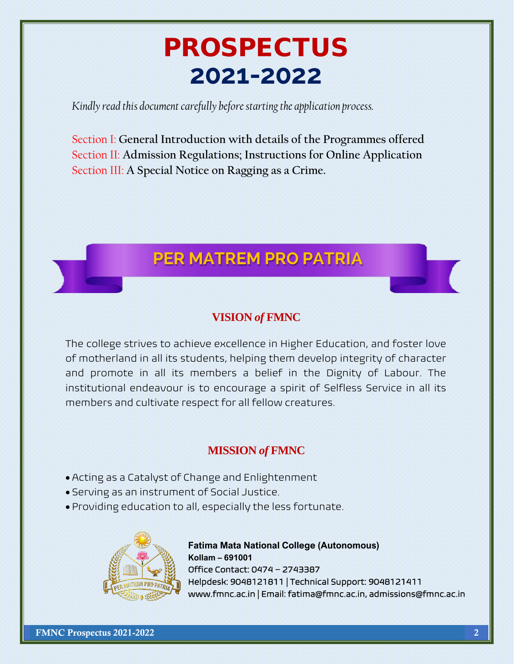# PROSPECTUS **2021-2022**

*Kindly read this document carefully before starting the application process.*

Section I: **General Introduction with details of the Programmes offered** Section II: **Admission Regulations; Instructions for Online Application** Section III: **A Special Notice on Ragging as a Crime.**

## **PER MATREM PRO PATRIA**

## **VISION** *of* **FMNC**

The college strives to achieve excellence in Higher Education, and foster love of motherland in all its students, helping them develop integrity of character and promote in all its members a belief in the Dignity of Labour. The institutional endeavour is to encourage a spirit of Selfless Service in all its members and cultivate respect for all fellow creatures.

## **MISSION** *of* **FMNC**

- Acting as a Catalyst of Change and Enlightenment
- Serving as an instrument of Social Justice.
- Providing education to all, especially the less fortunate.



**Fatima Mata National College (Autonomous) Kollam – 691001** Office Contact: 0474 – 2743387 Helpdesk: 9048121811 | Technical Support: 9048121411 www.fmnc.ac.in | Email: fatima@fmnc.ac.in, admissions@fmnc.ac.in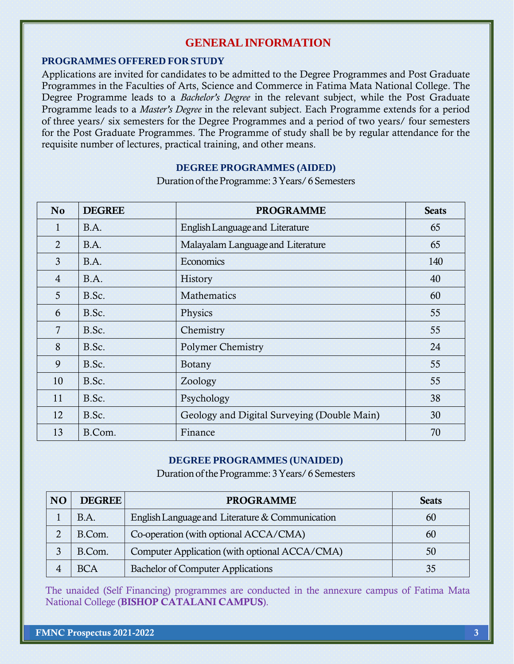## **GENERALINFORMATION**

## **PROGRAMMES OFFERED FOR STUDY**

Applications are invited for candidates to be admitted to the Degree Programmes and Post Graduate Programmes in the Faculties of Arts, Science and Commerce in Fatima Mata National College. The Degree Programme leads to a *Bachelor's Degree* in the relevant subject, while the Post Graduate Programme leads to a *Master's Degree* in the relevant subject. Each Programme extends for a period of three years/ six semesters for the Degree Programmes and a period of two years/ four semesters for the Post Graduate Programmes. The Programme of study shall be by regular attendance for the requisite number of lectures, practical training, and other means.

#### **DEGREE PROGRAMMES (AIDED)**

DurationoftheProgramme: 3Years/6 Semesters

| N <sub>o</sub>  | <b>DEGREE</b> | <b>PROGRAMME</b>                            | <b>Seats</b> |
|-----------------|---------------|---------------------------------------------|--------------|
| 1               | B.A.          | English Language and Literature             | 65           |
| $\overline{2}$  | B.A.          | Malayalam Language and Literature           | 65           |
| $\overline{3}$  | B.A.          | Economics                                   | 140          |
| $\overline{4}$  | B.A.          | History                                     | 40           |
| $5\overline{)}$ | B.Sc.         | <b>Mathematics</b>                          | 60           |
| 6               | B.Sc.         | Physics                                     | 55           |
| $\overline{7}$  | B.Sc.         | Chemistry                                   | 55           |
| 8               | B.Sc.         | <b>Polymer Chemistry</b>                    | 24           |
| 9               | B.Sc.         | <b>Botany</b>                               | 55           |
| 10              | B.Sc.         | Zoology                                     | 55           |
| 11              | B.Sc.         | Psychology                                  | 38           |
| 12              | B.Sc.         | Geology and Digital Surveying (Double Main) | 30           |
| 13              | B.Com.        | Finance                                     | 70           |

#### **DEGREE PROGRAMMES (UNAIDED)**

DurationoftheProgramme: 3Years/6 Semesters

| N <sub>O</sub> | <b>DEGREE</b> | <b>PROGRAMME</b>                                | <b>Seats</b> |
|----------------|---------------|-------------------------------------------------|--------------|
|                | B.A.          | English Language and Literature & Communication | 60           |
|                | B.Com.        | Co-operation (with optional ACCA/CMA)           | 60           |
|                | B.Com.        | Computer Application (with optional ACCA/CMA)   | 50           |
|                | <b>BCA</b>    | <b>Bachelor of Computer Applications</b>        | 35           |

The unaided (Self Financing) programmes are conducted in the annexure campus of Fatima Mata National College (BISHOP CATALANI CAMPUS).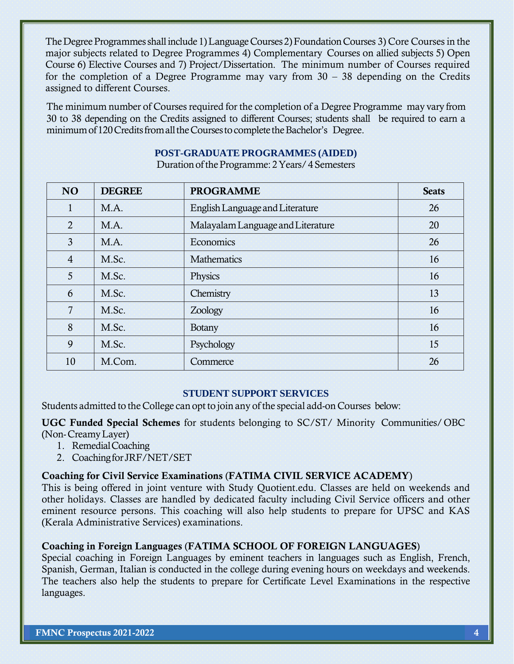The Degree Programmes shall include 1) Language Courses 2) Foundation Courses 3) Core Courses in the major subjects related to Degree Programmes 4) Complementary Courses on allied subjects 5) Open Course 6) Elective Courses and 7) Project/Dissertation. The minimum number of Courses required for the completion of a Degree Programme may vary from  $30 - 38$  depending on the Credits assigned to different Courses.

The minimum number of Courses required for the completion of a Degree Programme may vary from 30 to 38 depending on the Credits assigned to different Courses; students shall be required to earn a minimum of 120 Credits from all the Courses to complete the Bachelor's Degree.

## **POST-GRADUATE PROGRAMMES (AIDED)**

DurationoftheProgramme: 2Years/4 Semesters

| <b>NO</b>      | <b>DEGREE</b> | <b>PROGRAMME</b>                  | <b>Seats</b> |
|----------------|---------------|-----------------------------------|--------------|
| $\mathbf{1}$   | M.A.          | English Language and Literature   | 26           |
| $\overline{2}$ | MA.           | Malayalam Language and Literature | 20           |
| $\overline{3}$ | M.A.          | Economics                         | 26           |
| $\overline{4}$ | M.Sc.         | Mathematics                       | 16           |
| $\overline{5}$ | M.Sc.         | Physics                           | 16           |
| 6              | M.Sc.         | Chemistry                         | 13           |
| $\overline{7}$ | M.Sc.         | Zoology                           | 16           |
| 8              | M.Sc.         | <b>Botany</b>                     | 16           |
| 9              | M.Sc.         | Psychology                        | 15           |
| 10             | M.Com.        | Commerce                          | 26           |

## **STUDENT SUPPORT SERVICES**

Students admitted to the College can opt to join any of the special add-on Courses below:

UGC Funded Special Schemes for students belonging to SC/ST/ Minority Communities/OBC (Non-CreamyLayer)

- 1. RemedialCoaching
- 2. Coachingfor JRF/NET/SET

## Coaching for Civil Service Examinations (FATIMA CIVIL SERVICE ACADEMY)

This is being offered in joint venture with Study Quotient.edu. Classes are held on weekends and other holidays. Classes are handled by dedicated faculty including Civil Service officers and other eminent resource persons. This coaching will also help students to prepare for UPSC and KAS (Kerala Administrative Services) examinations.

#### Coaching in Foreign Languages (FATIMA SCHOOL OF FOREIGN LANGUAGES)

Special coaching in Foreign Languages by eminent teachers in languages such as English, French, Spanish, German, Italian is conducted in the college during evening hours on weekdays and weekends. The teachers also help the students to prepare for Certificate Level Examinations in the respective languages.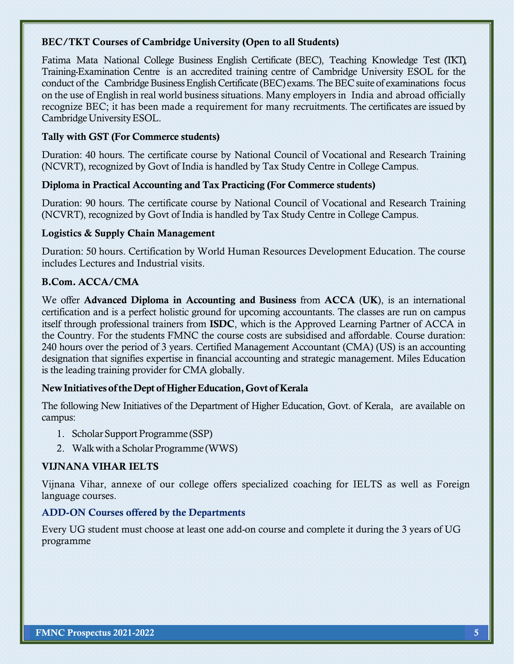## BEC/TKT Courses of Cambridge University (Open to all Students)

Fatima Mata National College Business English Certificate (BEC), Teaching Knowledge Test (TKT), Training-Examination Centre is an accredited training centre of Cambridge University ESOL for the conduct of the Cambridge Business English Certificate (BEC) exams. The BEC suite of examinations focus on the use of English in real world business situations. Many employers in India and abroad officially recognize BEC; it has been made a requirement for many recruitments. The certificates are issued by Cambridge University ESOL.

## Tally with GST (For Commerce students)

Duration: 40 hours. The certificate course by National Council of Vocational and Research Training (NCVRT), recognized by Govt of India is handled by Tax Study Centre in College Campus.

## Diploma in Practical Accounting and Tax Practicing (For Commerce students)

Duration: 90 hours. The certificate course by National Council of Vocational and Research Training (NCVRT), recognized by Govt of India is handled by Tax Study Centre in College Campus.

## Logistics & Supply Chain Management

Duration: 50 hours. Certification by World Human Resources Development Education. The course includes Lectures and Industrial visits.

## B.Com. ACCA/CMA

We offer Advanced Diploma in Accounting and Business from ACCA (UK), is an international certification and is a perfect holistic ground for upcoming accountants. The classes are run on campus itself through professional trainers from ISDC, which is the Approved Learning Partner of ACCA in the Country. For the students FMNC the course costs are subsidised and affordable. Course duration: 240 hours over the period of 3 years. Certified Management Accountant (CMA) (US) is an accounting designation that signifies expertise in financial accounting and strategic management. Miles Education is the leading training provider for CMA globally.

## New Initiatives of the Dept of Higher Education, Govt of Kerala

The following New Initiatives of the Department of Higher Education, Govt. of Kerala, are available on campus:

- 1. Scholar Support Programme (SSP)
- 2. Walk with a Scholar Programme (WWS)

## VIJNANA VIHAR IELTS

Vijnana Vihar, annexe of our college offers specialized coaching for IELTS as well as Foreign language courses.

## ADD-ON Courses offered by the Departments

Every UG student must choose at least one add-on course and complete it during the 3 years of UG programme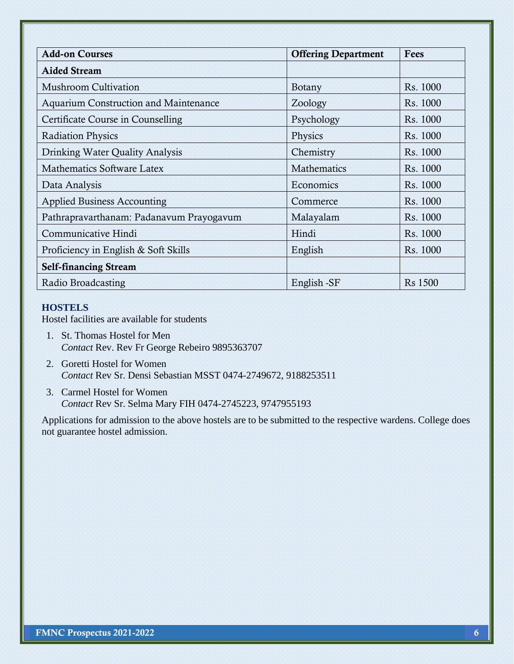| <b>Add-on Courses</b>                        | <b>Offering Department</b> | Fees           |
|----------------------------------------------|----------------------------|----------------|
| <b>Aided Stream</b>                          |                            |                |
| <b>Mushroom Cultivation</b>                  | <b>Botany</b>              | Rs. 1000       |
| <b>Aquarium Construction and Maintenance</b> | Zoology                    | Rs. 1000       |
| <b>Certificate Course in Counselling</b>     | Psychology                 | Rs. 1000       |
| <b>Radiation Physics</b>                     | Physics                    | Rs. 1000       |
| Drinking Water Quality Analysis              | Chemistry                  | Rs. 1000       |
| Mathematics Software Latex                   | Mathematics                | Rs. 1000       |
| Data Analysis                                | Economics                  | Rs. 1000       |
| <b>Applied Business Accounting</b>           | Commerce                   | Rs. 1000       |
| Pathrapravarthanam: Padanavum Prayogavum     | Malayalam                  | Rs. 1000       |
| Communicative Hindi                          | Hindi                      | Rs. 1000       |
| Proficiency in English & Soft Skills         | English                    | Rs. 1000       |
| <b>Self-financing Stream</b>                 |                            |                |
| Radio Broadcasting                           | English -SF                | <b>Rs</b> 1500 |

## **HOSTELS**

Hostel facilities are available for students

- 1. St. Thomas Hostel for Men *Contact* Rev. Rev Fr George Rebeiro 9895363707
- 2. Goretti Hostel for Women *Contact* Rev Sr. Densi Sebastian MSST 0474-2749672, 9188253511
- 3. Carmel Hostel for Women *Contact* Rev Sr. Selma Mary FIH 0474-2745223, 9747955193

Applications for admission to the above hostels are to be submitted to the respective wardens. College does not guarantee hostel admission.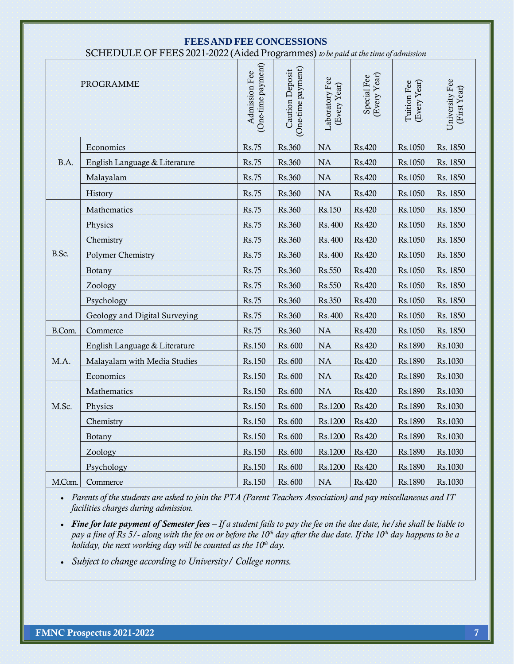| <b>FEES AND FEE CONCESSIONS</b>                                                   |                               |                                     |                                      |                                |                             |                             |                                |
|-----------------------------------------------------------------------------------|-------------------------------|-------------------------------------|--------------------------------------|--------------------------------|-----------------------------|-----------------------------|--------------------------------|
| SCHEDULE OF FEES 2021-2022 (Aided Programmes) to be paid at the time of admission |                               |                                     |                                      |                                |                             |                             |                                |
| PROGRAMME                                                                         |                               | (One-time payment)<br>Admission Fee | One-time payment)<br>Caution Deposit | Laboratory Fee<br>(Every Year) | (Every Year)<br>Special Fee | (Every Year)<br>Tuition Fee | University Fee<br>(First Year) |
|                                                                                   | Economics                     | Rs.75                               | Rs.360                               | <b>NA</b>                      | Rs.420                      | Rs.1050                     | Rs. 1850                       |
| B.A.                                                                              | English Language & Literature | Rs.75                               | Rs.360                               | <b>NA</b>                      | Rs.420                      | Rs.1050                     | Rs. 1850                       |
|                                                                                   | Malayalam                     | Rs.75                               | Rs.360                               | <b>NA</b>                      | Rs.420                      | Rs.1050                     | Rs. 1850                       |
|                                                                                   | History                       | Rs.75                               | Rs.360                               | <b>NA</b>                      | Rs.420                      | Rs.1050                     | Rs. 1850                       |
|                                                                                   | Mathematics                   | Rs.75                               | Rs.360                               | Rs.150                         | Rs.420                      | Rs.1050                     | Rs. 1850                       |
|                                                                                   | Physics                       | Rs.75                               | Rs.360                               | Rs. 400                        | Rs.420                      | Rs.1050                     | Rs. 1850                       |
|                                                                                   | Chemistry                     | Rs.75                               | Rs.360                               | Rs. 400                        | Rs.420                      | Rs.1050                     | Rs. 1850                       |
| B.Sc.                                                                             | <b>Polymer Chemistry</b>      | Rs.75                               | Rs.360                               | Rs. 400                        | Rs.420                      | Rs.1050                     | Rs. 1850                       |
|                                                                                   | Botany                        | Rs.75                               | Rs.360                               | Rs.550                         | Rs.420                      | Rs.1050                     | Rs. 1850                       |
|                                                                                   | Zoology                       | Rs.75                               | Rs.360                               | Rs.550                         | Rs.420                      | Rs.1050                     | Rs. 1850                       |
|                                                                                   | Psychology                    | Rs.75                               | Rs.360                               | Rs.350                         | Rs.420                      | Rs.1050                     | Rs. 1850                       |
|                                                                                   | Geology and Digital Surveying | Rs.75                               | Rs.360                               | Rs. 400                        | Rs.420                      | Rs.1050                     | Rs. 1850                       |
| B.Com.                                                                            | Commerce                      | Rs.75                               | Rs.360                               | <b>NA</b>                      | Rs.420                      | Rs.1050                     | Rs. 1850                       |
|                                                                                   | English Language & Literature | Rs.150                              | Rs. 600                              | <b>NA</b>                      | Rs.420                      | Rs.1890                     | Rs.1030                        |
| M.A.                                                                              | Malayalam with Media Studies  | Rs.150                              | Rs. 600                              | <b>NA</b>                      | Rs.420                      | Rs.1890                     | Rs.1030                        |
|                                                                                   | Economics                     | Rs.150                              | Rs. 600                              | <b>NA</b>                      | Rs.420                      | Rs.1890                     | Rs.1030                        |
|                                                                                   | Mathematics                   | Rs.150                              | Rs. 600                              | <b>NA</b>                      | Rs.420                      | Rs.1890                     | Rs.1030                        |
| M.Sc.                                                                             | Physics                       | Rs.150                              | Rs. 600                              | Rs.1200                        | Rs.420                      | Rs.1890                     | Rs.1030                        |
|                                                                                   | Chemistry                     | Rs.150                              | Rs. 600                              | Rs.1200                        | Rs.420                      | Rs.1890                     | Rs.1030                        |
|                                                                                   | Botany                        | Rs.150                              | Rs. 600                              | Rs.1200                        | Rs.420                      | Rs.1890                     | Rs.1030                        |
|                                                                                   | Zoology                       | Rs.150                              | Rs. 600                              | Rs.1200                        | Rs.420                      | Rs.1890                     | Rs.1030                        |
|                                                                                   | Psychology                    | Rs.150                              | Rs. 600                              | Rs.1200                        | Rs.420                      | Rs.1890                     | Rs.1030                        |
| M.Com.                                                                            | Commerce                      | Rs.150                              | Rs. 600                              | <b>NA</b>                      | Rs.420                      | Rs.1890                     | Rs.1030                        |

• *Parents of the students are asked to join the PTA (Parent Teachers Association) and pay miscellaneous and IT facilities charges during admission.*

• *Fine for late payment of Semester fees – If a student fails to pay the fee on the due date, he/she shall be liable to pay a fine of Rs 5/- along with the fee on or before the 10<sup>th</sup> day after the due date. If the 10<sup>th</sup> day happens to be a holiday, the next working day will be counted as the 10<sup>th</sup> day.* 

• *Subject to change according to University/ College norms.*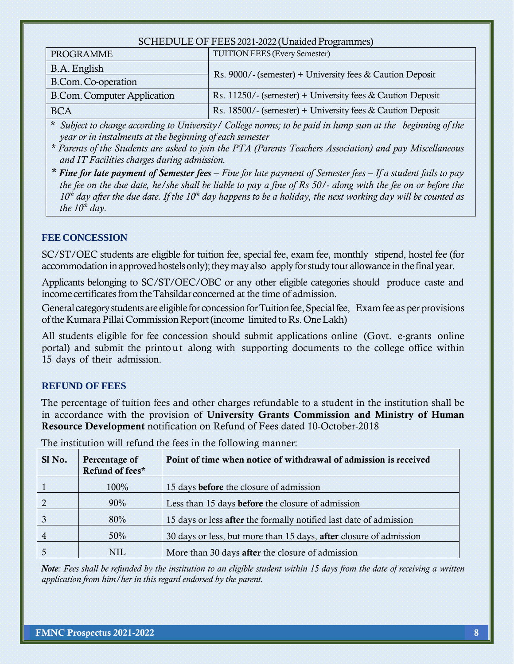## SCHEDULE OF FEES 2021-2022 (Unaided Programmes)

| PROGRAMME                          | <b>TUITION FEES (Every Semester)</b>                       |  |
|------------------------------------|------------------------------------------------------------|--|
| B.A. English                       | Rs. 9000/- (semester) + University fees & Caution Deposit  |  |
| B.Com. Co-operation                |                                                            |  |
| <b>B.Com. Computer Application</b> | Rs. 11250/- (semester) + University fees & Caution Deposit |  |
| BCA                                | Rs. 18500/- (semester) + University fees & Caution Deposit |  |

\* Subject to change according to University/ College norms; to be paid in lump sum at the beginning of the *year or in instalments at the beginning of each semester*

- *\* Parents of the Students are asked to join the PTA (Parents Teachers Association) and pay Miscellaneous and IT Facilities charges during admission.*
- *\* Fine for late payment of Semester fees – Fine for late payment of Semester fees – If a student fails to pay the fee on the due date, he/she shall be liable to pay a fine of Rs 50/- along with the fee on or before the*  10<sup>th</sup> day after the due date. If the 10<sup>th</sup> day happens to be a holiday, the next working day will be counted as *the*  $10^{th}$  *day.*

## **FEE CONCESSION**

SC/ST/OEC students are eligible for tuition fee, special fee, exam fee, monthly stipend, hostel fee (for accommodation in approved hostels only); they may also apply for study tour allowance in the final year.

Applicants belonging to SC/ST/OEC/OBC or any other eligible categories should produce caste and income certificates from the Tahsildar concerned at the time of admission.

General category students are eligible for concession for Tuition fee, Special fee, Exam fee as per provisions of the Kumara Pillai Commission Report (income limited to Rs. One Lakh)

All students eligible for fee concession should submit applications online (Govt. e-grants online portal) and submit the printout along with supporting documents to the college office within 15 days of their admission.

## **REFUND OF FEES**

The percentage of tuition fees and other charges refundable to a student in the institution shall be in accordance with the provision of University Grants Commission and Ministry of Human Resource Development notification on Refund of Fees dated 10-October-2018

| Sl No.         | Percentage of<br>Refund of fees* | Point of time when notice of withdrawal of admission is received   |
|----------------|----------------------------------|--------------------------------------------------------------------|
|                | 100%                             | 15 days before the closure of admission                            |
|                | 90%                              | Less than 15 days before the closure of admission                  |
|                | 80%                              | 15 days or less after the formally notified last date of admission |
| $\overline{4}$ | 50%                              | 30 days or less, but more than 15 days, after closure of admission |
|                | NIL.                             | More than 30 days after the closure of admission                   |

The institution will refund the fees in the following manner:

*Note: Fees shall be refunded by the institution to an eligible student within 15 days from the date of receiving a written application from him/her in this regard endorsed by the parent.*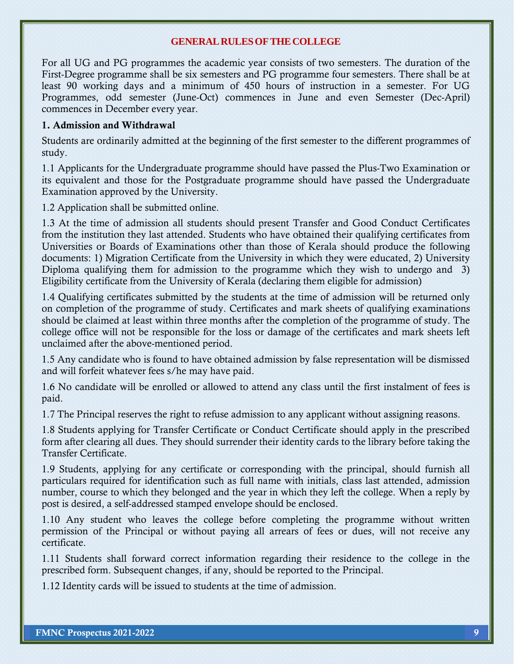## **GENERALRULESOFTHECOLLEGE**

For all UG and PG programmes the academic year consists of two semesters. The duration of the First-Degree programme shall be six semesters and PG programme four semesters. There shall be at least 90 working days and a minimum of 450 hours of instruction in a semester. For UG Programmes, odd semester (June-Oct) commences in June and even Semester (Dec-April) commences in December every year.

## 1. Admission and Withdrawal

Students are ordinarily admitted at the beginning of the first semester to the different programmes of study.

1.1 Applicants for the Undergraduate programme should have passed the Plus-Two Examination or its equivalent and those for the Postgraduate programme should have passed the Undergraduate Examination approved by the University.

1.2 Application shall be submitted online.

1.3 At the time of admission all students should present Transfer and Good Conduct Certificates from the institution they last attended. Students who have obtained their qualifying certificates from Universities or Boards of Examinations other than those of Kerala should produce the following documents: 1) Migration Certificate from the University in which they were educated, 2) University Diploma qualifying them for admission to the programme which they wish to undergo and 3) Eligibility certificate from the University of Kerala (declaring them eligible for admission)

1.4 Qualifying certificates submitted by the students at the time of admission will be returned only on completion of the programme of study. Certificates and mark sheets of qualifying examinations should be claimed at least within three months after the completion of the programme of study. The college office will not be responsible for the loss or damage of the certificates and mark sheets left unclaimed after the above-mentioned period.

1.5 Any candidate who is found to have obtained admission by false representation will be dismissed and will forfeit whatever fees s/he may have paid.

1.6 No candidate will be enrolled or allowed to attend any class until the first instalment of fees is paid.

1.7 The Principal reserves the right to refuse admission to any applicant without assigning reasons.

1.8 Students applying for Transfer Certificate or Conduct Certificate should apply in the prescribed form after clearing all dues. They should surrender their identity cards to the library before taking the Transfer Certificate.

1.9 Students, applying for any certificate or corresponding with the principal, should furnish all particulars required for identification such as full name with initials, class last attended, admission number, course to which they belonged and the year in which they left the college. When a reply by post is desired, a self-addressed stamped envelope should be enclosed.

1.10 Any student who leaves the college before completing the programme without written permission of the Principal or without paying all arrears of fees or dues, will not receive any certificate.

1.11 Students shall forward correct information regarding their residence to the college in the prescribed form. Subsequent changes, if any, should be reported to the Principal.

1.12 Identity cards will be issued to students at the time of admission.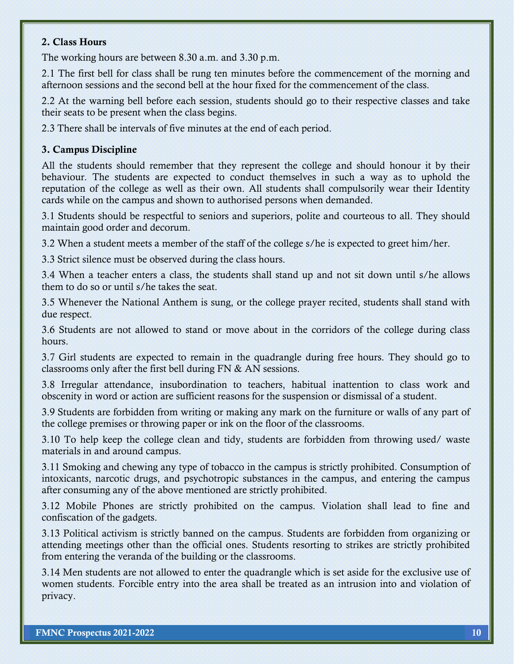## 2. Class Hours

The working hours are between 8.30 a.m. and 3.30 p.m.

2.1 The first bell for class shall be rung ten minutes before the commencement of the morning and afternoon sessions and the second bell at the hour fixed for the commencement of the class.

2.2 At the warning bell before each session, students should go to their respective classes and take their seats to be present when the class begins.

2.3 There shall be intervals of five minutes at the end of each period.

## 3. Campus Discipline

All the students should remember that they represent the college and should honour it by their behaviour. The students are expected to conduct themselves in such a way as to uphold the reputation of the college as well as their own. All students shall compulsorily wear their Identity cards while on the campus and shown to authorised persons when demanded.

3.1 Students should be respectful to seniors and superiors, polite and courteous to all. They should maintain good order and decorum.

3.2 When a student meets a member of the staff of the college s/he is expected to greet him/her.

3.3 Strict silence must be observed during the class hours.

3.4 When a teacher enters a class, the students shall stand up and not sit down until s/he allows them to do so or until s/he takes the seat.

3.5 Whenever the National Anthem is sung, or the college prayer recited, students shall stand with due respect.

3.6 Students are not allowed to stand or move about in the corridors of the college during class hours

3.7 Girl students are expected to remain in the quadrangle during free hours. They should go to classrooms only after the first bell during FN & AN sessions.

3.8 Irregular attendance, insubordination to teachers, habitual inattention to class work and obscenity in word or action are sufficient reasons for the suspension or dismissal of a student.

3.9 Students are forbidden from writing or making any mark on the furniture or walls of any part of the college premises or throwing paper or ink on the floor of the classrooms.

3.10 To help keep the college clean and tidy, students are forbidden from throwing used/ waste materials in and around campus.

3.11 Smoking and chewing any type of tobacco in the campus is strictly prohibited. Consumption of intoxicants, narcotic drugs, and psychotropic substances in the campus, and entering the campus after consuming any of the above mentioned are strictly prohibited.

3.12 Mobile Phones are strictly prohibited on the campus. Violation shall lead to fine and confiscation of the gadgets.

3.13 Political activism is strictly banned on the campus. Students are forbidden from organizing or attending meetings other than the official ones. Students resorting to strikes are strictly prohibited from entering the veranda of the building or the classrooms.

3.14 Men students are not allowed to enter the quadrangle which is set aside for the exclusive use of women students. Forcible entry into the area shall be treated as an intrusion into and violation of privacy.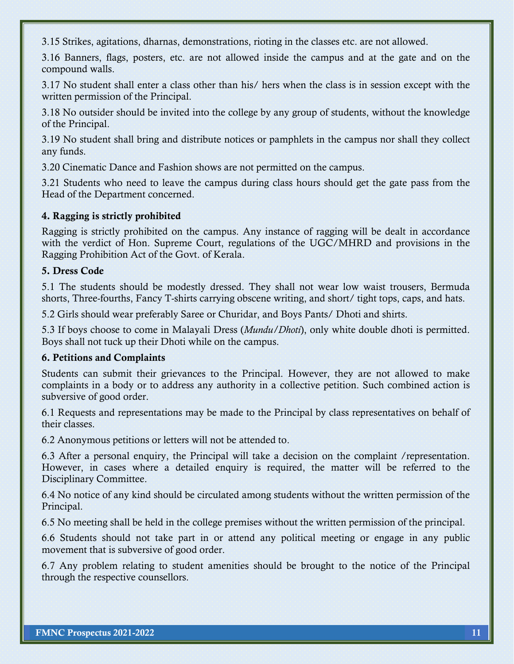3.15 Strikes, agitations, dharnas, demonstrations, rioting in the classes etc. are not allowed.

3.16 Banners, flags, posters, etc. are not allowed inside the campus and at the gate and on the compound walls.

3.17 No student shall enter a class other than his/ hers when the class is in session except with the written permission of the Principal.

3.18 No outsider should be invited into the college by any group of students, without the knowledge of the Principal.

3.19 No student shall bring and distribute notices or pamphlets in the campus nor shall they collect any funds.

3.20 Cinematic Dance and Fashion shows are not permitted on the campus.

3.21 Students who need to leave the campus during class hours should get the gate pass from the Head of the Department concerned.

## 4. Ragging is strictly prohibited

Ragging is strictly prohibited on the campus. Any instance of ragging will be dealt in accordance with the verdict of Hon. Supreme Court, regulations of the UGC/MHRD and provisions in the Ragging Prohibition Act of the Govt. of Kerala.

## 5. Dress Code

5.1 The students should be modestly dressed. They shall not wear low waist trousers, Bermuda shorts, Three-fourths, Fancy T-shirts carrying obscene writing, and short/ tight tops, caps, and hats.

5.2 Girls should wear preferably Saree or Churidar, and Boys Pants/ Dhoti and shirts.

5.3 If boys choose to come in Malayali Dress (*Mundu/Dhoti*), only white double dhoti is permitted. Boys shall not tuck up their Dhoti while on the campus.

## 6. Petitions and Complaints

Students can submit their grievances to the Principal. However, they are not allowed to make complaints in a body or to address any authority in a collective petition. Such combined action is subversive of good order.

6.1 Requests and representations may be made to the Principal by class representatives on behalf of their classes.

6.2 Anonymous petitions or letters will not be attended to.

6.3 After a personal enquiry, the Principal will take a decision on the complaint /representation. However, in cases where a detailed enquiry is required, the matter will be referred to the Disciplinary Committee.

6.4 No notice of any kind should be circulated among students without the written permission of the Principal.

6.5 No meeting shall be held in the college premises without the written permission of the principal.

6.6 Students should not take part in or attend any political meeting or engage in any public movement that is subversive of good order.

6.7 Any problem relating to student amenities should be brought to the notice of the Principal through the respective counsellors.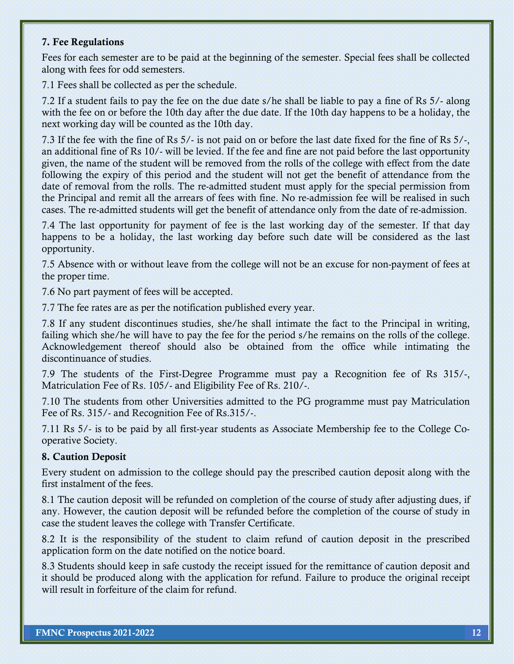## 7. Fee Regulations

Fees for each semester are to be paid at the beginning of the semester. Special fees shall be collected along with fees for odd semesters.

7.1 Fees shall be collected as per the schedule.

7.2 If a student fails to pay the fee on the due date s/he shall be liable to pay a fine of Rs 5/- along with the fee on or before the 10th day after the due date. If the 10th day happens to be a holiday, the next working day will be counted as the 10th day.

7.3 If the fee with the fine of Rs 5/- is not paid on or before the last date fixed for the fine of Rs 5/-, an additional fine of Rs 10/- will be levied. If the fee and fine are not paid before the last opportunity given, the name of the student will be removed from the rolls of the college with effect from the date following the expiry of this period and the student will not get the benefit of attendance from the date of removal from the rolls. The re-admitted student must apply for the special permission from the Principal and remit all the arrears of fees with fine. No re-admission fee will be realised in such cases. The re-admitted students will get the benefit of attendance only from the date of re-admission.

7.4 The last opportunity for payment of fee is the last working day of the semester. If that day happens to be a holiday, the last working day before such date will be considered as the last opportunity.

7.5 Absence with or without leave from the college will not be an excuse for non-payment of fees at the proper time.

7.6 No part payment of fees will be accepted.

7.7 The fee rates are as per the notification published every year.

7.8 If any student discontinues studies, she/he shall intimate the fact to the Principal in writing, failing which she/he will have to pay the fee for the period s/he remains on the rolls of the college. Acknowledgement thereof should also be obtained from the office while intimating the discontinuance of studies.

7.9 The students of the First-Degree Programme must pay a Recognition fee of Rs 315/-, Matriculation Fee of Rs. 105/- and Eligibility Fee of Rs. 210/-.

7.10 The students from other Universities admitted to the PG programme must pay Matriculation Fee of Rs. 315/- and Recognition Fee of Rs.315/-.

7.11 Rs 5/- is to be paid by all first-year students as Associate Membership fee to the College Cooperative Society.

## 8. Caution Deposit

Every student on admission to the college should pay the prescribed caution deposit along with the first instalment of the fees.

8.1 The caution deposit will be refunded on completion of the course of study after adjusting dues, if any. However, the caution deposit will be refunded before the completion of the course of study in case the student leaves the college with Transfer Certificate.

8.2 It is the responsibility of the student to claim refund of caution deposit in the prescribed application form on the date notified on the notice board.

8.3 Students should keep in safe custody the receipt issued for the remittance of caution deposit and it should be produced along with the application for refund. Failure to produce the original receipt will result in forfeiture of the claim for refund.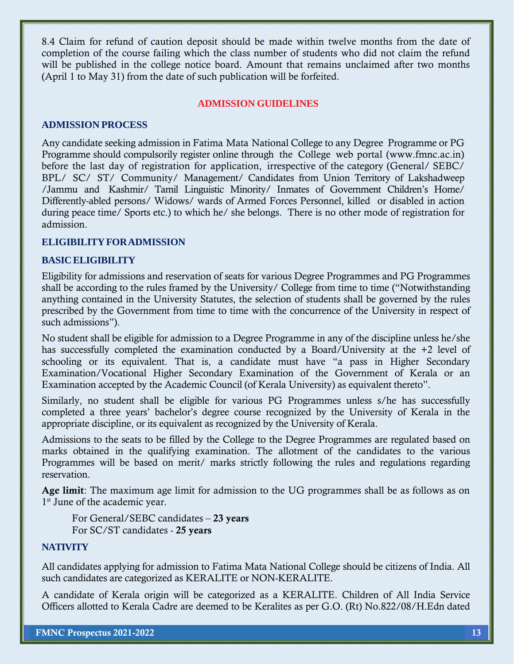8.4 Claim for refund of caution deposit should be made within twelve months from the date of completion of the course failing which the class number of students who did not claim the refund will be published in the college notice board. Amount that remains unclaimed after two months (April 1 to May 31) from the date of such publication will be forfeited.

## **ADMISSION GUIDELINES**

## **ADMISSION PROCESS**

Any candidate seeking admission in Fatima Mata National College to any Degree Programme or PG Programme should compulsorily register online through the College web portal (www.fmnc.ac.in) before the last day of registration for application, irrespective of the category (General/ SEBC/ BPL/ SC/ ST/ Community/ Management/ Candidates from Union Territory of Lakshadweep /Jammu and Kashmir/ Tamil Linguistic Minority/ Inmates of Government Children's Home/ Differently-abled persons/ Widows/ wards of Armed Forces Personnel, killed or disabled in action during peace time/ Sports etc.) to which he/ she belongs. There is no other mode of registration for admission.

## **ELIGIBILITYFORADMISSION**

## **BASICELIGIBILITY**

Eligibility for admissions and reservation of seats for various Degree Programmes and PG Programmes shall be according to the rules framed by the University/ College from time to time ("Notwithstanding anything contained in the University Statutes, the selection of students shall be governed by the rules prescribed by the Government from time to time with the concurrence of the University in respect of such admissions").

No student shall be eligible for admission to a Degree Programme in any of the discipline unless he/she has successfully completed the examination conducted by a Board/University at the +2 level of schooling or its equivalent. That is, a candidate must have "a pass in Higher Secondary Examination/Vocational Higher Secondary Examination of the Government of Kerala or an Examination accepted by the Academic Council (of Kerala University) as equivalent thereto".

Similarly, no student shall be eligible for various PG Programmes unless s/he has successfully completed a three years' bachelor's degree course recognized by the University of Kerala in the appropriate discipline, or its equivalent as recognized by the University of Kerala.

Admissions to the seats to be filled by the College to the Degree Programmes are regulated based on marks obtained in the qualifying examination. The allotment of the candidates to the various Programmes will be based on merit/ marks strictly following the rules and regulations regarding reservation.

Age limit: The maximum age limit for admission to the UG programmes shall be as follows as on 1<sup>st</sup> June of the academic year.

For General/SEBC candidates – 23 years For SC/ST candidates - 25 years

## **NATIVITY**

All candidates applying for admission to Fatima Mata National College should be citizens of India. All such candidates are categorized as KERALITE or NON-KERALITE.

A candidate of Kerala origin will be categorized as a KERALITE. Children of All India Service Officers allotted to Kerala Cadre are deemed to be Keralites as per G.O. (Rt) No.822/08/H.Edn dated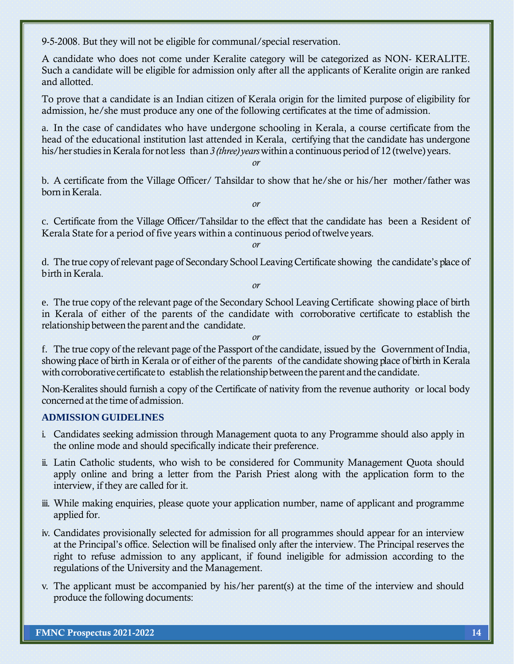9-5-2008. But they will not be eligible for communal/special reservation.

A candidate who does not come under Keralite category will be categorized as NON- KERALITE. Such a candidate will be eligible for admission only after all the applicants of Keralite origin are ranked and allotted.

To prove that a candidate is an Indian citizen of Kerala origin for the limited purpose of eligibility for admission, he/she must produce any one of the following certificates at the time of admission.

a. In the case of candidates who have undergone schooling in Kerala, a course certificate from the head of the educational institution last attended in Kerala, certifying that the candidate has undergone his/her studies in Kerala for not less than  $3$  *(three) years* within a continuous period of 12 (twelve) years.

*or*

b. A certificate from the Village Officer/ Tahsildar to show that he/she or his/her mother/father was born inKerala.

*or*

c. Certificate from the Village Officer/Tahsildar to the effect that the candidate has been a Resident of Kerala State for a period of five years within a continuous period of twelve years.

*or*

d. The true copy of relevant page of Secondary SchoolLeaving Certificate showing the candidate's place of birth in Kerala.

*or*

e. The true copy of the relevant page of the Secondary School Leaving Certificate showing place of birth in Kerala of either of the parents of the candidate with corroborative certificate to establish the relationship between the parent and the candidate.

*or*

f. The true copy of the relevant page of the Passport of the candidate, issued by the Government of India, showing place of birth in Kerala or of either of the parents of the candidate showing place of birth in Kerala with corroborative certificate to establish the relationship between the parent and the candidate.

Non-Keralites should furnish a copy of the Certificate of nativity from the revenue authority or local body concerned atthe time of admission.

## **ADMISSION GUIDELINES**

- i. Candidates seeking admission through Management quota to any Programme should also apply in the online mode and should specifically indicate their preference.
- ii. Latin Catholic students, who wish to be considered for Community Management Quota should apply online and bring a letter from the Parish Priest along with the application form to the interview, if they are called for it.
- iii. While making enquiries, please quote your application number, name of applicant and programme applied for.
- iv. Candidates provisionally selected for admission for all programmes should appear for an interview at the Principal's office. Selection will be finalised only after the interview. The Principal reserves the right to refuse admission to any applicant, if found ineligible for admission according to the regulations of the University and the Management.
- v. The applicant must be accompanied by his/her parent(s) at the time of the interview and should produce the following documents: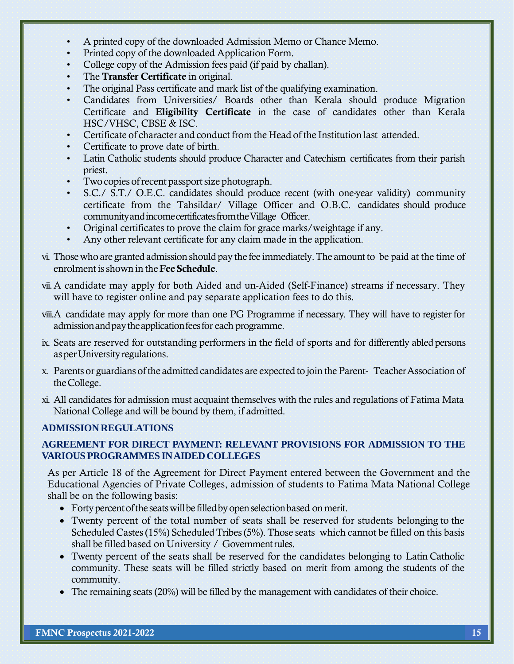- A printed copy of the downloaded Admission Memo or Chance Memo.
- Printed copy of the downloaded Application Form.
- College copy of the Admission fees paid (if paid by challan).
- The **Transfer Certificate** in original.
- The original Pass certificate and mark list of the qualifying examination.
- Candidates from Universities/ Boards other than Kerala should produce Migration Certificate and Eligibility Certificate in the case of candidates other than Kerala HSC/VHSC, CBSE & ISC.
- Certificate of character and conduct from the Head of the Institution last attended.
- Certificate to prove date of birth.
- Latin Catholic students should produce Character and Catechism certificates from their parish priest.
- Two copies of recent passport size photograph.
- S.C./ S.T./ O.E.C. candidates should produce recent (with one-year validity) community certificate from the Tahsildar/ Village Officer and O.B.C. candidates should produce communityandincomecertificatesfromtheVillage Officer.
- Original certificates to prove the claim for grace marks/weightage if any.
- Any other relevant certificate for any claim made in the application.
- vi. Those who are granted admission should pay the fee immediately. The amount to be paid at the time of enrolment is shown in the Fee Schedule.
- vii.A candidate may apply for both Aided and un-Aided (Self-Finance) streams if necessary. They will have to register online and pay separate application fees to do this.
- viii.A candidate may apply for more than one PG Programme if necessary. They will have to register for admission and pay the application fees for each programme.
- ix. Seats are reserved for outstanding performers in the field of sports and for differently abledpersons as per University regulations.
- x. Parents or guardians of the admitted candidates are expected to join the Parent- TeacherAssociation of theCollege.
- xi. All candidates for admission must acquaint themselves with the rules and regulations of Fatima Mata National College and will be bound by them, if admitted.

## **ADMISSION REGULATIONS**

## **AGREEMENT FOR DIRECT PAYMENT: RELEVANT PROVISIONS FOR ADMISSION TO THE VARIOUS PROGRAMMES INAIDEDCOLLEGES**

As per Article 18 of the Agreement for Direct Payment entered between the Government and the Educational Agencies of Private Colleges, admission of students to Fatima Mata National College shall be on the following basis:

- Forty percent of the seats will be filled by open selection based on merit.
- Twenty percent of the total number of seats shall be reserved for students belonging to the Scheduled Castes (15%) Scheduled Tribes (5%). Those seats which cannot be filled on this basis shall be filled based on University / Governmentrules.
- Twenty percent of the seats shall be reserved for the candidates belonging to Latin Catholic community. These seats will be filled strictly based on merit from among the students of the community.
- The remaining seats (20%) will be filled by the management with candidates of their choice.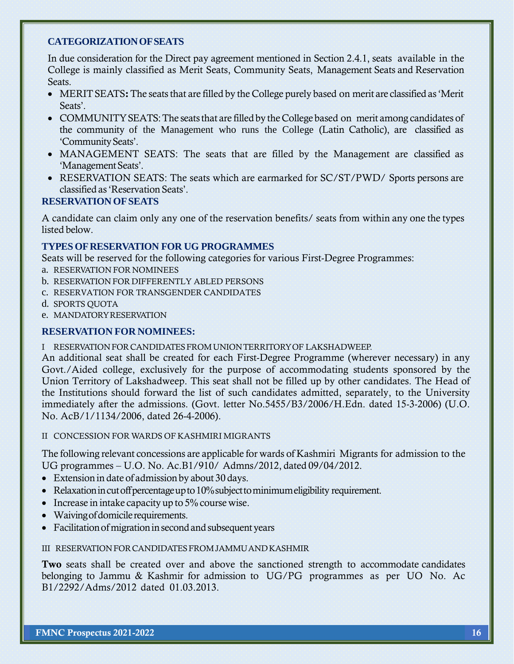## **CATEGORIZATIONOFSEATS**

In due consideration for the Direct pay agreement mentioned in Section 2.4.1, seats available in the College is mainly classified as Merit Seats, Community Seats, Management Seats and Reservation Seats.

- MERIT SEATS: The seats that are filled by the College purely based on merit are classified as 'Merit Seats'.
- COMMUNITY SEATS: The seats that are filled by the College based on merit among candidates of the community of the Management who runs the College (Latin Catholic), are classified as 'Community Seats'.
- MANAGEMENT SEATS: The seats that are filled by the Management are classified as 'Management Seats'.
- RESERVATION SEATS: The seats which are earmarked for  $SC/ST/PWD/$  Sports persons are classified as'Reservation Seats'.

## **RESERVATION OFSEATS**

A candidate can claim only any one of the reservation benefits/ seats from within any one the types listed below.

## **TYPESOFRESERVATION FOR UG PROGRAMMES**

Seats will be reserved for the following categories for various First-Degree Programmes:

- a. RESERVATION FOR NOMINEES
- b. RESERVATION FOR DIFFERENTLY ABLED PERSONS
- c. RESERVATION FOR TRANSGENDER CANDIDATES
- d. SPORTS QUOTA
- e. MANDATORYRESERVATION

## **RESERVATION FOR NOMINEES:**

I RESERVATIONFORCANDIDATESFROMUNIONTERRITORYOF LAKSHADWEEP.

An additional seat shall be created for each First-Degree Programme (wherever necessary) in any Govt./Aided college, exclusively for the purpose of accommodating students sponsored by the Union Territory of Lakshadweep. This seat shall not be filled up by other candidates. The Head of the Institutions should forward the list of such candidates admitted, separately, to the University immediately after the admissions. (Govt. letter No.5455/B3/2006/H.Edn. dated 15-3-2006) (U.O. No. AcB/1/1134/2006, dated 26-4-2006).

#### II CONCESSION FOR WARDS OF KASHMIRI MIGRANTS

The following relevant concessions are applicable for wards of Kashmiri Migrants for admission to the UG programmes – U.O. No. Ac.B1/910/ Admns/2012, dated 09/04/2012.

- Extension in date of admission by about 30 days.
- Relaxation in cut off percentage up to 10% subject to minimum eligibility requirement.
- Increase in intake capacity up to 5% course wise.
- Waiving of domicile requirements.
- Facilitation of migration in second and subsequent years

III RESERVATIONFORCANDIDATESFROMJAMMUANDKASHMIR

Two seats shall be created over and above the sanctioned strength to accommodate candidates belonging to Jammu & Kashmir for admission to UG/PG programmes as per UO No. Ac B1/2292/Adms/2012 dated 01.03.2013.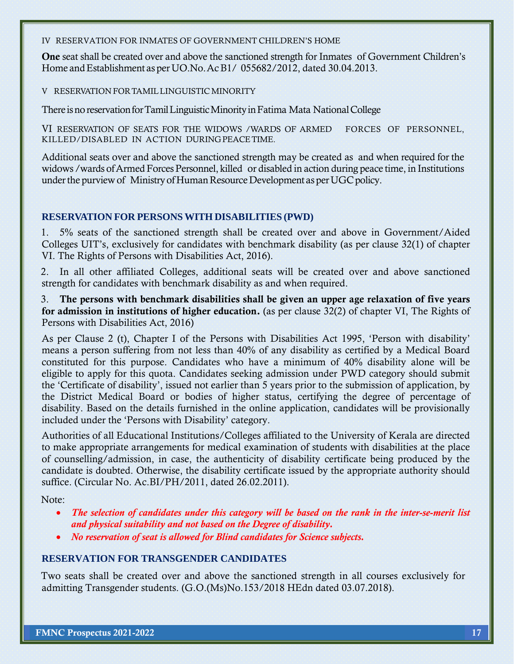IV RESERVATION FOR INMATES OF GOVERNMENT CHILDREN'S HOME

One seat shall be created over and above the sanctioned strength for Inmates of Government Children's Home andEstablishment as per UO.No.AcB1/ 055682/2012, dated 30.04.2013.

V RESERVATION FORTAMILLINGUISTIC MINORITY

There is no reservation for Tamil Linguistic Minority in Fatima Mata National College

VI RESERVATION OF SEATS FOR THE WIDOWS /WARDS OF ARMED FORCES OF PERSONNEL, KILLED/DISABLED IN ACTION DURINGPEACETIME.

Additional seats over and above the sanctioned strength may be created as and when required for the widows /wards of Armed Forces Personnel, killed or disabled in action during peace time, in Institutions under the purview of Ministry of Human Resource Development as per UGC policy.

## **RESERVATION FOR PERSONSWITH DISABILITIES (PWD)**

1. 5% seats of the sanctioned strength shall be created over and above in Government/Aided Colleges UIT's, exclusively for candidates with benchmark disability (as per clause 32(1) of chapter VI. The Rights of Persons with Disabilities Act, 2016).

2. In all other affiliated Colleges, additional seats will be created over and above sanctioned strength for candidates with benchmark disability as and when required.

3. The persons with benchmark disabilities shall be given an upper age relaxation of five years for admission in institutions of higher education. (as per clause 32(2) of chapter VI, The Rights of Persons with Disabilities Act, 2016)

As per Clause 2 (t), Chapter I of the Persons with Disabilities Act 1995, 'Person with disability' means a person suffering from not less than 40% of any disability as certified by a Medical Board constituted for this purpose. Candidates who have a minimum of 40% disability alone will be eligible to apply for this quota. Candidates seeking admission under PWD category should submit the 'Certificate of disability', issued not earlier than 5 years prior to the submission of application, by the District Medical Board or bodies of higher status, certifying the degree of percentage of disability. Based on the details furnished in the online application, candidates will be provisionally included under the 'Persons with Disability' category.

Authorities of all Educational Institutions/Colleges affiliated to the University of Kerala are directed to make appropriate arrangements for medical examination of students with disabilities at the place of counselling/admission, in case, the authenticity of disability certificate being produced by the candidate is doubted. Otherwise, the disability certificate issued by the appropriate authority should suffice. (Circular No. Ac.BI/PH/2011, dated 26.02.2011).

Note:

- *The selection of candidates under this category will be based on the rank in the inter-se-merit list and physical suitability and not based on the Degree of disability.*
- *No reservation of seat is allowed for Blind candidates for Science subjects.*

## **RESERVATION FOR TRANSGENDER CANDIDATES**

Two seats shall be created over and above the sanctioned strength in all courses exclusively for admitting Transgender students. (G.O.(Ms)No.153/2018 HEdn dated 03.07.2018).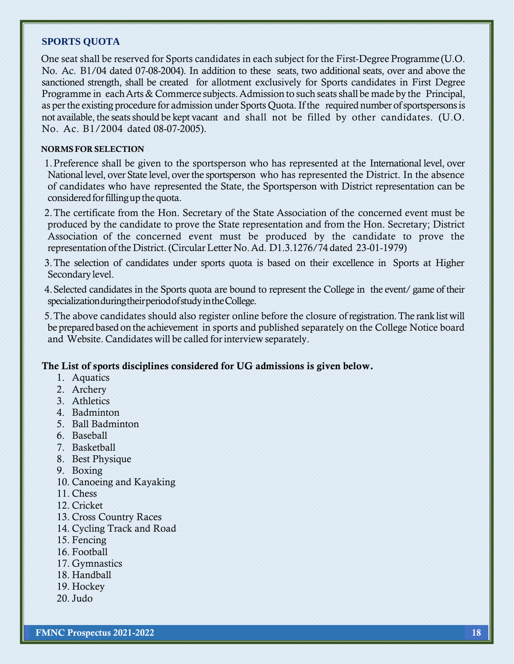#### **SPORTS QUOTA**

One seat shall be reserved for Sports candidates in each subject for the First-Degree Programme (U.O. No. Ac. B1/04 dated 07-08-2004). In addition to these seats, two additional seats, over and above the sanctioned strength, shall be created for allotment exclusively for Sports candidates in First Degree Programme in each Arts & Commerce subjects. Admission to such seats shall be made by the Principal, as per the existing procedure for admission under Sports Quota. If the required number of sportspersons is not available, the seats should be kept vacant and shall not be filled by other candidates. (U.O. No. Ac. B1/2004 dated 08-07-2005).

#### NORMS FOR SELECTION

1.Preference shall be given to the sportsperson who has represented at the International level, over National level, over State level, over the sportsperson who has represented the District. In the absence of candidates who have represented the State, the Sportsperson with District representation can be considered for filling up the quota.

2.The certificate from the Hon. Secretary of the State Association of the concerned event must be produced by the candidate to prove the State representation and from the Hon. Secretary; District Association of the concerned event must be produced by the candidate to prove the representation of the District.(CircularLetter No.Ad. D1.3.1276/74 dated 23-01-1979)

3.The selection of candidates under sports quota is based on their excellence in Sports at Higher Secondary level.

4.Selected candidates in the Sports quota are bound to represent the College in the event/ game of their specialization during their period of study in the College.

5.The above candidates should also register online before the closure ofregistration.The rank listwill be preparedbased on the achievement in sports and published separately on the College Notice board and Website. Candidates will be called forinterview separately.

#### The List of sports disciplines considered for UG admissions is given below.

- 1. Aquatics
- 2. Archery
- 3. Athletics
- 4. Badminton
- 5. Ball Badminton
- 6. Baseball
- 7. Basketball
- 8. Best Physique
- 9. Boxing
- 10. Canoeing and Kayaking
- 11. Chess
- 12. Cricket
- 13. Cross Country Races
- 14. Cycling Track and Road
- 15. Fencing
- 16. Football
- 17. Gymnastics
- 18. Handball
- 19. Hockey
- 20. Judo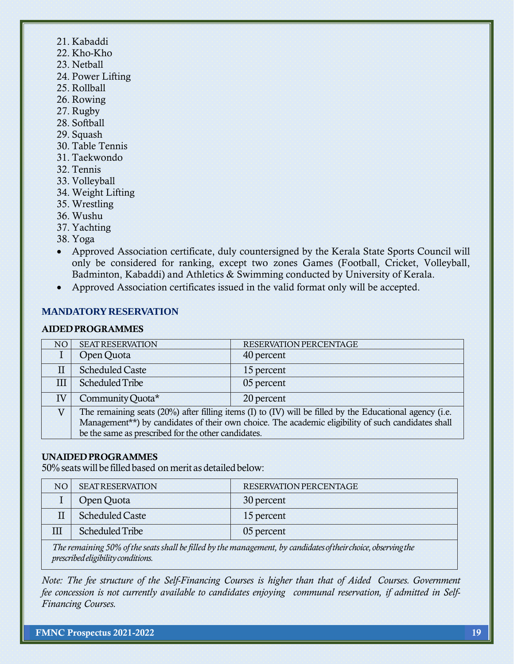- 21. Kabaddi
- 22. Kho-Kho
- 23. Netball
- 24. Power Lifting
- 25. Rollball
- 26. Rowing
- 27. Rugby
- 28. Softball
- 29. Squash
- 30. Table Tennis
- 31. Taekwondo
- 32. Tennis
- 33. Volleyball
- 34. Weight Lifting
- 35. Wrestling
- 36. Wushu
- 37. Yachting
- 38. Yoga
- Approved Association certificate, duly countersigned by the Kerala State Sports Council will only be considered for ranking, except two zones Games (Football, Cricket, Volleyball, Badminton, Kabaddi) and Athletics & Swimming conducted by University of Kerala.
- Approved Association certificates issued in the valid format only will be accepted.

## **MANDATORYRESERVATION**

## AIDEDPROGRAMMES

| NO.          | <b>SEAT RESERVATION</b>                                                                                  | RESERVATION PERCENTAGE |  |
|--------------|----------------------------------------------------------------------------------------------------------|------------------------|--|
|              | Open Quota                                                                                               | 40 percent             |  |
| $\mathbf{I}$ | <b>Scheduled Caste</b>                                                                                   | 15 percent             |  |
| ·HT          | Scheduled Tribe                                                                                          | 05 percent             |  |
| ΙV           | Community Quota*                                                                                         | 20 percent             |  |
| $\mathbf{V}$ | The remaining seats (20%) after filling items (I) to (IV) will be filled by the Educational agency (i.e. |                        |  |
|              | Management**) by candidates of their own choice. The academic eligibility of such candidates shall       |                        |  |
|              | be the same as prescribed for the other candidates.                                                      |                        |  |

## UNAIDEDPROGRAMMES

50% seats will be filled based on merit as detailed below:

| NO. | <b>SEAT RESERVATION</b> | RESERVATION PERCENTAGE |
|-----|-------------------------|------------------------|
|     | Open Quota              | 30 percent             |
|     | <b>Scheduled Caste</b>  | 15 percent             |
|     | Scheduled Tribe         | 05 percent             |

*Theremaining 50% of theseats shall be filled by the management, by candidatesoftheirchoice,observingthe prescribedeligibilityconditions.*

*Note: The fee structure of the Self-Financing Courses is higher than that of Aided Courses. Government fee concession is not currently available to candidates enjoying communal reservation, if admitted in Self-Financing Courses.*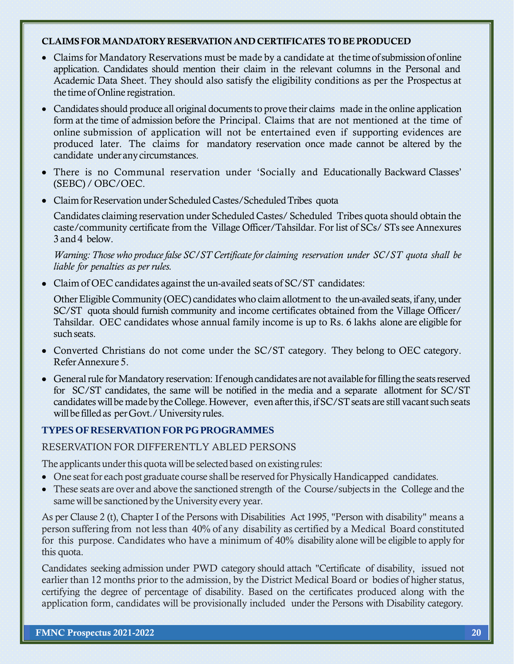## CLAIMSFORMANDATORYRESERVATIONAND CERTIFICATES TO BEPRODUCED

- Claims for Mandatory Reservations must be made by a candidate at the time of submission of online application. Candidates should mention their claim in the relevant columns in the Personal and Academic Data Sheet. They should also satisfy the eligibility conditions as per the Prospectus at the time of Online registration.
- Candidates should produce all original documents to prove their claims made in the online application form at the time of admission before the Principal. Claims that are not mentioned at the time of online submission of application will not be entertained even if supporting evidences are produced later. The claims for mandatory reservation once made cannot be altered by the candidate underanycircumstances.
- There is no Communal reservation under 'Socially and Educationally Backward Classes' (SEBC) / OBC/OEC.
- Claim for Reservation under Scheduled Castes/Scheduled Tribes quota

Candidates claiming reservation under Scheduled Castes/ Scheduled Tribes quota should obtain the caste/community certificate from the Village Officer/Tahsildar. For list of SCs/ STssee Annexures 3 and 4 below.

*Warning: Those who produce false SC/ST Certificate for claiming reservation under SC/ST quota shall be liable for penalties as per rules.*

• Claim of OEC candidates against the un-availed seats of SC/ST candidates:

Other Eligible Community (OEC) candidates who claim allotment to the un-availed seats, if any, under SC/ST quota should furnish community and income certificates obtained from the Village Officer/ Tahsildar. OEC candidates whose annual family income is up to Rs. 6 lakhs alone are eligible for such seats.

- Converted Christians do not come under the SC/ST category. They belong to OEC category. ReferAnnexure 5.
- General rule for Mandatory reservation: If enough candidates are not available for filling the seats reserved for SC/ST candidates, the same will be notified in the media and a separate allotment for SC/ST candidates will be made by the College. However, even after this, if SC/ST seats are still vacant such seats will be filled as per Govt. / University rules.

## **TYPES OFRESERVATION FOR PGPROGRAMMES**

## RESERVATION FOR DIFFERENTLY ABLED PERSONS

The applicants under this quota will be selected based on existing rules:

- One seat for each post graduate course shall be reserved for Physically Handicapped candidates.
- These seats are over and above the sanctioned strength of the Course/subjects in the College and the same will be sanctioned by the University every year.

As per Clause 2 (t), Chapter I of the Persons with Disabilities Act 1995, "Person with disability" means a person suffering from not less than 40% of any disability as certified by a Medical Board constituted for this purpose. Candidates who have a minimum of 40% disability alone will be eligible to apply for this quota.

Candidates seeking admission under PWD category should attach "Certificate of disability, issued not earlier than 12 months prior to the admission, by the District Medical Board or bodies of higher status, certifying the degree of percentage of disability. Based on the certificates produced along with the application form, candidates will be provisionally included under the Persons with Disability category.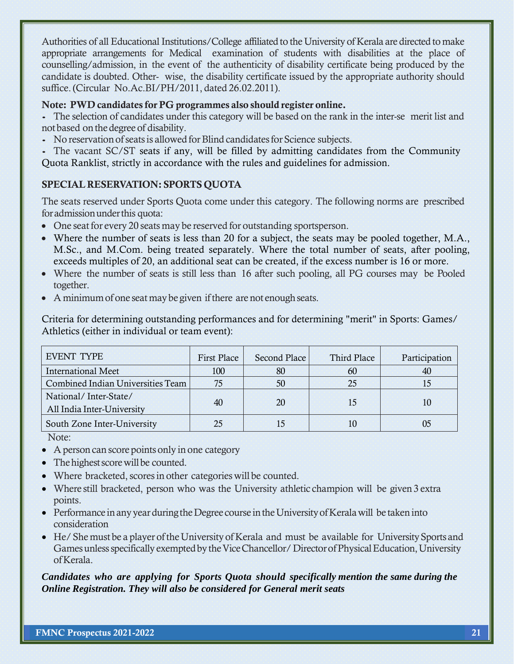Authorities of all Educational Institutions/College affiliated to the University of Kerala are directed to make appropriate arrangements for Medical examination of students with disabilities at the place of counselling/admission, in the event of the authenticity of disability certificate being produced by the candidate is doubted. Other- wise, the disability certificate issued by the appropriate authority should suffice.(Circular No.Ac.BI/PH/2011, dated 26.02.2011).

## Note: PWD candidates for PG programmes also should register online.

 The selection of candidates under this category will be based on the rank in the inter-se merit list and not based on thedegree of disability.

- No reservation of seats is allowed for Blind candidates for Science subjects.

 The vacant SC/ST seats if any, will be filled by admitting candidates from the Community Quota Ranklist, strictly in accordance with the rules and guidelines for admission.

## SPECIALRESERVATION: SPORTS QUOTA

The seats reserved under Sports Quota come under this category. The following norms are prescribed foradmissionunderthis quota:

- One seat for every 20 seats may be reserved for outstanding sportsperson.
- Where the number of seats is less than 20 for a subject, the seats may be pooled together, M.A., M.Sc., and M.Com. being treated separately. Where the total number of seats, after pooling, exceeds multiples of 20, an additional seat can be created, if the excess number is 16 or more.
- Where the number of seats is still less than 16 after such pooling, all PG courses may be Pooled together.
- A minimum of one seat may be given if there are not enough seats.

Criteria for determining outstanding performances and for determining "merit" in Sports: Games/ Athletics (either in individual or team event):

| EVENT TYPE                        | <b>First Place</b> | Second Place | Third Place | Participation |
|-----------------------------------|--------------------|--------------|-------------|---------------|
| <b>International Meet</b>         | 100                | 80           | 60          | 40            |
| Combined Indian Universities Team | 75                 | 50           | 25          | 15            |
| National/Inter-State/             |                    | 20           | 15          |               |
| All India Inter-University        | 40                 |              |             | 10            |
| South Zone Inter-University       | 25                 |              | 10          | 05            |

Note:

- A person can score points only in one category
- The highest score will be counted.
- $\bullet$  Where bracketed, scores in other categories will be counted.
- Where still bracketed, person who was the University athletic champion will be given 3 extra points.
- Performance in any year during the Degree course in the University of Kerala will be taken into consideration
- He/ She must be a player of the University of Kerala and must be available for University Sports and Games unless specifically exempted by the Vice Chancellor/Director of Physical Education, University ofKerala.

*Candidates who are applying for Sports Quota should specifically mention the same during the Online Registration. They will also be considered for General merit seats*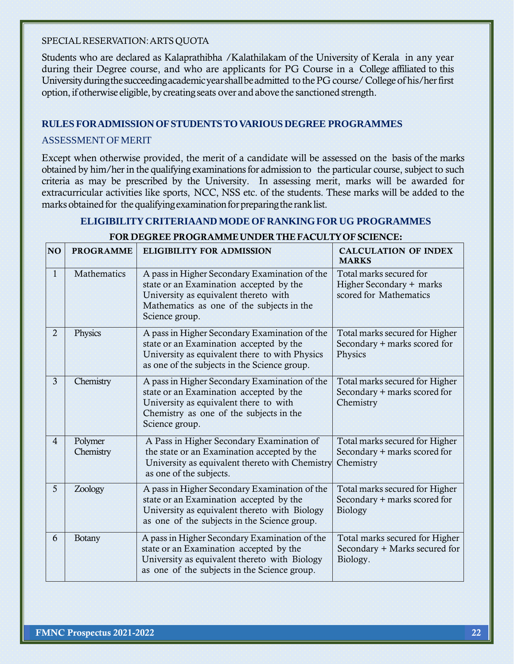#### SPECIAL RESERVATION: ARTS QUOTA

Students who are declared as Kalaprathibha /Kalathilakam of the University of Kerala in any year during their Degree course, and who are applicants for PG Course in a College affiliated to this University during the succeeding academic year shall be admitted to the PG course/College of his/her first option, if otherwise eligible, by creating seats over and above the sanctioned strength.

#### **RULES FORADMISSIONOFSTUDENTSTOVARIOUS DEGREE PROGRAMMES**

## ASSESSMENT OF MERIT

Except when otherwise provided, the merit of a candidate will be assessed on the basis of the marks obtained by him/her in the qualifying examinations for admission to the particular course, subject to such criteria as may be prescribed by the University. In assessing merit, marks will be awarded for extracurricular activities like sports, NCC, NSS etc. of the students. These marks will be added to the marks obtained for the qualifying examination for preparing the rank list.

## **ELIGIBILITYCRITERIAAND MODE OFRANKINGFOR UG PROGRAMMES**

#### FOR DEGREE PROGRAMME UNDER THE FACULTY OF SCIENCE:

| <b>NO</b>         | <b>PROGRAMME</b>     | <b>ELIGIBILITY FOR ADMISSION</b>                                                                                                                                                                 | <b>CALCULATION OF INDEX</b><br><b>MARKS</b>                                      |
|-------------------|----------------------|--------------------------------------------------------------------------------------------------------------------------------------------------------------------------------------------------|----------------------------------------------------------------------------------|
| $\mathbf{1}$      | Mathematics          | A pass in Higher Secondary Examination of the<br>state or an Examination accepted by the<br>University as equivalent thereto with<br>Mathematics as one of the subjects in the<br>Science group. | Total marks secured for<br>Higher Secondary + marks<br>scored for Mathematics    |
| $2^{\frac{1}{2}}$ | Physics              | A pass in Higher Secondary Examination of the<br>state or an Examination accepted by the<br>University as equivalent there to with Physics<br>as one of the subjects in the Science group.       | Total marks secured for Higher<br>Secondary + marks scored for<br>Physics        |
| 3 <sup>1</sup>    | Chemistry            | A pass in Higher Secondary Examination of the<br>state or an Examination accepted by the<br>University as equivalent there to with<br>Chemistry as one of the subjects in the<br>Science group.  | Total marks secured for Higher<br>Secondary + marks scored for<br>Chemistry      |
| $\overline{4}$    | Polymer<br>Chemistry | A Pass in Higher Secondary Examination of<br>the state or an Examination accepted by the<br>University as equivalent thereto with Chemistry<br>as one of the subjects.                           | Total marks secured for Higher<br>Secondary + marks scored for<br>Chemistry      |
| 5 <sup>5</sup>    | Zoology              | A pass in Higher Secondary Examination of the<br>state or an Examination accepted by the<br>University as equivalent thereto with Biology<br>as one of the subjects in the Science group.        | Total marks secured for Higher<br>Secondary + marks scored for<br><b>Biology</b> |
| 6 <sup>1</sup>    | Botany               | A pass in Higher Secondary Examination of the<br>state or an Examination accepted by the<br>University as equivalent thereto with Biology<br>as one of the subjects in the Science group.        | Total marks secured for Higher<br>Secondary + Marks secured for<br>Biology.      |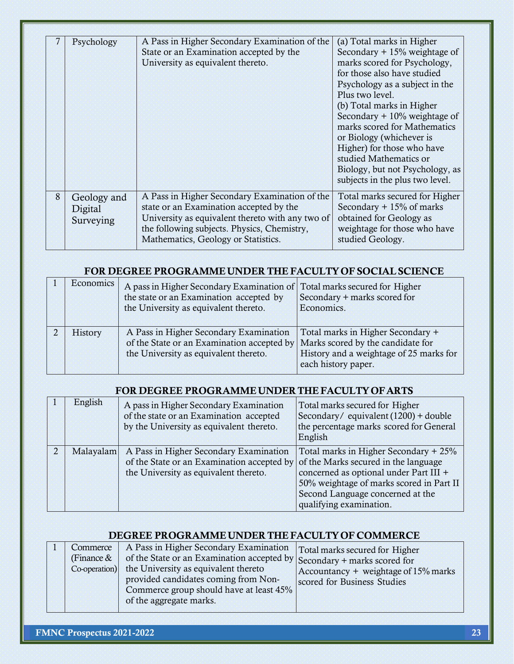|   | Psychology  | A Pass in Higher Secondary Examination of the    | (a) Total marks in Higher       |
|---|-------------|--------------------------------------------------|---------------------------------|
|   |             | State or an Examination accepted by the          | Secondary $+15%$ weightage of   |
|   |             | University as equivalent thereto.                | marks scored for Psychology,    |
|   |             |                                                  | for those also have studied     |
|   |             |                                                  | Psychology as a subject in the  |
|   |             |                                                  | Plus two level.                 |
|   |             |                                                  | (b) Total marks in Higher       |
|   |             |                                                  | Secondary $+10\%$ weightage of  |
|   |             |                                                  | marks scored for Mathematics    |
|   |             |                                                  | or Biology (whichever is        |
|   |             |                                                  | Higher) for those who have      |
|   |             |                                                  | studied Mathematics or          |
|   |             |                                                  | Biology, but not Psychology, as |
|   |             |                                                  | subjects in the plus two level. |
| 8 | Geology and | A Pass in Higher Secondary Examination of the    | Total marks secured for Higher  |
|   | Digital     | state or an Examination accepted by the          | Secondary $+15%$ of marks       |
|   | Surveying   | University as equivalent thereto with any two of | obtained for Geology as         |
|   |             | the following subjects. Physics, Chemistry,      | weightage for those who have    |
|   |             | Mathematics, Geology or Statistics.              | studied Geology.                |
|   |             |                                                  |                                 |

## FOR DEGREE PROGRAMMEUNDER THE FACULTYOF SOCIALSCIENCE

| Economics | A pass in Higher Secondary Examination of Total marks secured for Higher<br>the state or an Examination accepted by<br>the University as equivalent thereto.      | Secondary + marks scored for<br>Economics.                                                          |
|-----------|-------------------------------------------------------------------------------------------------------------------------------------------------------------------|-----------------------------------------------------------------------------------------------------|
| History   | A Pass in Higher Secondary Examination<br>of the State or an Examination accepted by   Marks scored by the candidate for<br>the University as equivalent thereto. | Total marks in Higher Secondary +<br>History and a weightage of 25 marks for<br>each history paper. |

#### FOR DEGREE PROGRAMMEUNDERTHEFACULTYOFARTS

| English   | A pass in Higher Secondary Examination<br>of the state or an Examination accepted<br>by the University as equivalent thereto.                                      | Total marks secured for Higher<br>Secondary/ equivalent (1200) + double<br>the percentage marks scored for General<br>English                                                              |
|-----------|--------------------------------------------------------------------------------------------------------------------------------------------------------------------|--------------------------------------------------------------------------------------------------------------------------------------------------------------------------------------------|
| Malayalam | A Pass in Higher Secondary Examination<br>of the State or an Examination accepted by of the Marks secured in the language<br>the University as equivalent thereto. | Total marks in Higher Secondary + 25%<br>concerned as optional under Part III +<br>50% weightage of marks scored in Part II<br>Second Language concerned at the<br>qualifying examination. |

## DEGREE PROGRAMMEUNDER THEFACULTYOF COMMERCE

|  | Commerce      | A Pass in Higher Secondary Examination   Total marks secured for Higher |                                          |
|--|---------------|-------------------------------------------------------------------------|------------------------------------------|
|  | (Finance $\&$ | of the State or an Examination accepted by Secondary + marks scored for |                                          |
|  | Co-operation) | the University as equivalent thereto                                    | $ $ Accountancy + weightage of 15% marks |
|  |               | provided candidates coming from Non-                                    | scored for Business Studies              |
|  |               | Commerce group should have at least 45%                                 |                                          |
|  |               | of the aggregate marks.                                                 |                                          |
|  |               |                                                                         |                                          |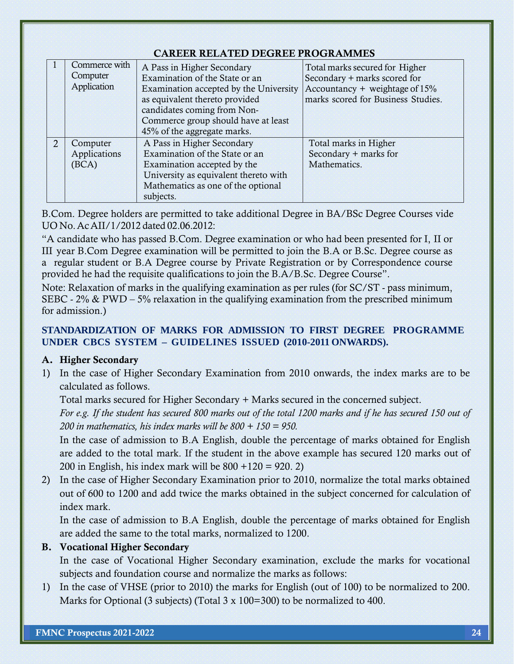|                | CANCER REEATED DESREE I ROSIN MARILD     |                                                                                                                                                                                                                                               |                                                                                                                                          |  |
|----------------|------------------------------------------|-----------------------------------------------------------------------------------------------------------------------------------------------------------------------------------------------------------------------------------------------|------------------------------------------------------------------------------------------------------------------------------------------|--|
|                | Commerce with<br>Computer<br>Application | A Pass in Higher Secondary<br>Examination of the State or an<br>Examination accepted by the University<br>as equivalent thereto provided<br>candidates coming from Non-<br>Commerce group should have at least<br>45% of the aggregate marks. | Total marks secured for Higher<br>Secondary + marks scored for<br>Accountancy + weightage of $15%$<br>marks scored for Business Studies. |  |
| $\overline{2}$ | Computer<br>Applications<br>(BCA)        | A Pass in Higher Secondary<br>Examination of the State or an<br>Examination accepted by the<br>University as equivalent thereto with<br>Mathematics as one of the optional<br>subjects.                                                       | Total marks in Higher<br>Secondary + marks for<br>Mathematics.                                                                           |  |

## CAREER RELATED DEGREE PROGRAMMES

B.Com. Degree holders are permitted to take additional Degree in BA/BSc Degree Courses vide UO No.AcAII/1/2012 dated 02.06.2012:

"A candidate who has passed B.Com. Degree examination or who had been presented for I, II or III year B.Com Degree examination will be permitted to join the B.A or B.Sc. Degree course as a regular student or B.A Degree course by Private Registration or by Correspondence course provided he had the requisite qualifications to join the B.A/B.Sc. Degree Course".

Note: Relaxation of marks in the qualifying examination as per rules (for SC/ST - pass minimum, SEBC - 2% & PWD – 5% relaxation in the qualifying examination from the prescribed minimum for admission.)

## **STANDARDIZATION OF MARKS FOR ADMISSION TO FIRST DEGREE PROGRAMME UNDER CBCS SYSTEM – GUIDELINES ISSUED (2010-2011 ONWARDS).**

## A. Higher Secondary

1) In the case of Higher Secondary Examination from 2010 onwards, the index marks are to be calculated as follows.

Total marks secured for Higher Secondary + Marks secured in the concerned subject.

*For e.g. If the student has secured 800 marks out of the total 1200 marks and if he has secured 150 out of 200 in mathematics, his index marks will be 800 + 150 = 950.*

In the case of admission to B.A English, double the percentage of marks obtained for English are added to the total mark. If the student in the above example has secured 120 marks out of 200 in English, his index mark will be  $800 + 120 = 920$ . 2)

2) In the case of Higher Secondary Examination prior to 2010, normalize the total marks obtained out of 600 to 1200 and add twice the marks obtained in the subject concerned for calculation of index mark.

In the case of admission to B.A English, double the percentage of marks obtained for English are added the same to the total marks, normalized to 1200.

## B. Vocational Higher Secondary

In the case of Vocational Higher Secondary examination, exclude the marks for vocational subjects and foundation course and normalize the marks as follows:

1) In the case of VHSE (prior to 2010) the marks for English (out of 100) to be normalized to 200. Marks for Optional (3 subjects) (Total 3 x 100=300) to be normalized to 400.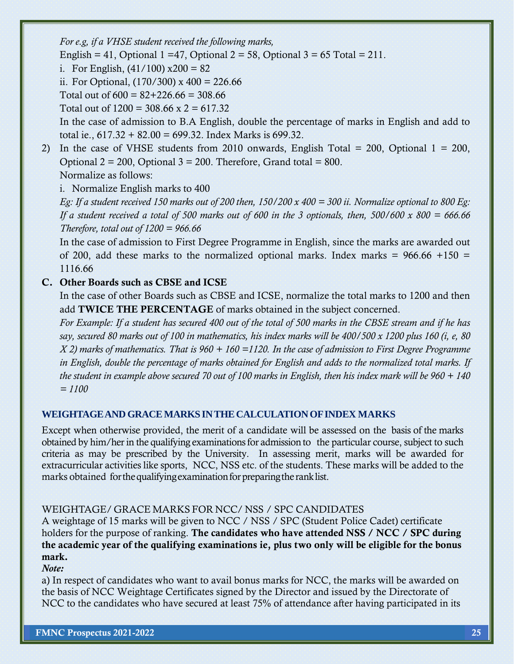*For e.g, if a VHSE student received the following marks,*

English = 41, Optional 1 = 47, Optional 2 = 58, Optional 3 = 65 Total = 211.

i. For English,  $(41/100)$  x200 = 82

ii. For Optional,  $(170/300)$  x  $400 = 226.66$ 

Total out of  $600 = 82 + 226.66 = 308.66$ 

Total out of  $1200 = 308.66 \times 2 = 617.32$ 

In the case of admission to B.A English, double the percentage of marks in English and add to total ie.,  $617.32 + 82.00 = 699.32$ . Index Marks is 699.32.

2) In the case of VHSE students from 2010 onwards, English Total = 200, Optional  $1 = 200$ , Optional  $2 = 200$ , Optional  $3 = 200$ . Therefore, Grand total = 800.

Normalize as follows:

i. Normalize English marks to 400

*Eg: If a student received 150 marks out of 200 then, 150/200 x 400 = 300 ii. Normalize optional to 800 Eg: If a student received a total of 500 marks out of 600 in the 3 optionals, then, 500/600 x 800 = 666.66 Therefore, total out of 1200 = 966.66*

In the case of admission to First Degree Programme in English, since the marks are awarded out of 200, add these marks to the normalized optional marks. Index marks =  $966.66 +150 =$ 1116.66

## C. Other Boards such as CBSE and ICSE

In the case of other Boards such as CBSE and ICSE, normalize the total marks to 1200 and then add TWICE THE PERCENTAGE of marks obtained in the subject concerned.

*For Example: If a student has secured 400 out of the total of 500 marks in the CBSE stream and if he has say, secured 80 marks out of 100 in mathematics, his index marks will be 400/500 x 1200 plus 160 (i, e, 80 X 2) marks of mathematics. That is 960 + 160 =1120. In the case of admission to First Degree Programme in English, double the percentage of marks obtained for English and adds to the normalized total marks. If the student in example above secured 70 out of 100 marks in English, then his index mark will be 960 + 140 = 1100*

## **WEIGHTAGEANDGRACEMARKS INTHECALCULATIONOFINDEX MARKS**

Except when otherwise provided, the merit of a candidate will be assessed on the basis of the marks obtained by him/herin the qualifying examinationsfor admission to the particular course, subject to such criteria as may be prescribed by the University. In assessing merit, marks will be awarded for extracurricular activities like sports, NCC, NSS etc. of the students. These marks will be added to the marks obtained for the qualifying examination for preparing the rank list.

## WEIGHTAGE/ GRACE MARKS FOR NCC/ NSS / SPC CANDIDATES

A weightage of 15 marks will be given to NCC / NSS / SPC (Student Police Cadet) certificate holders for the purpose of ranking. The candidates who have attended NSS / NCC / SPC during the academic year of the qualifying examinations ie, plus two only will be eligible for the bonus mark.

*Note:*

a) In respect of candidates who want to avail bonus marks for NCC, the marks will be awarded on the basis of NCC Weightage Certificates signed by the Director and issued by the Directorate of NCC to the candidates who have secured at least 75% of attendance after having participated in its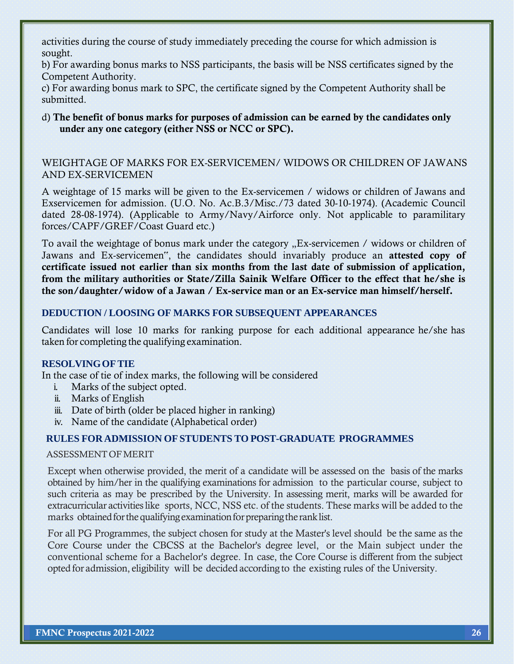activities during the course of study immediately preceding the course for which admission is sought.

b) For awarding bonus marks to NSS participants, the basis will be NSS certificates signed by the Competent Authority.

c) For awarding bonus mark to SPC, the certificate signed by the Competent Authority shall be submitted.

## d) The benefit of bonus marks for purposes of admission can be earned by the candidates only under any one category (either NSS or NCC or SPC).

WEIGHTAGE OF MARKS FOR EX-SERVICEMEN/ WIDOWS OR CHILDREN OF JAWANS AND EX-SERVICEMEN

A weightage of 15 marks will be given to the Ex-servicemen / widows or children of Jawans and Exservicemen for admission. (U.O. No. Ac.B.3/Misc./73 dated 30-10-1974). (Academic Council dated 28-08-1974). (Applicable to Army/Navy/Airforce only. Not applicable to paramilitary forces/CAPF/GREF/Coast Guard etc.)

To avail the weightage of bonus mark under the category "Ex-servicemen / widows or children of Jawans and Ex-servicemen", the candidates should invariably produce an attested copy of certificate issued not earlier than six months from the last date of submission of application, from the military authorities or State/Zilla Sainik Welfare Officer to the effect that he/she is the son/daughter/widow of a Jawan / Ex-service man or an Ex-service man himself/herself.

## **DEDUCTION / LOOSING OF MARKS FOR SUBSEQUENT APPEARANCES**

Candidates will lose 10 marks for ranking purpose for each additional appearance he/she has taken for completing the qualifying examination.

## **RESOLVINGOFTIE**

In the case of tie of index marks, the following will be considered

- i. Marks of the subject opted.
- ii. Marks of English
- iii. Date of birth (older be placed higher in ranking)
- iv. Name of the candidate (Alphabetical order)

## **RULES FOR ADMISSION OFSTUDENTS TO POST-GRADUATE PROGRAMMES**

## ASSESSMENTOFMERIT

Except when otherwise provided, the merit of a candidate will be assessed on the basis of the marks obtained by him/her in the qualifying examinations for admission to the particular course, subject to such criteria as may be prescribed by the University. In assessing merit, marks will be awarded for extracurricular activities like sports, NCC, NSS etc. of the students. These marks will be added to the marks obtained for the qualifying examination for preparing the rank list.

For all PG Programmes, the subject chosen for study at the Master's level should be the same as the Core Course under the CBCSS at the Bachelor's degree level, or the Main subject under the conventional scheme for a Bachelor's degree. In case, the Core Course is different from the subject opted for admission, eligibility will be decided according to the existing rules of the University.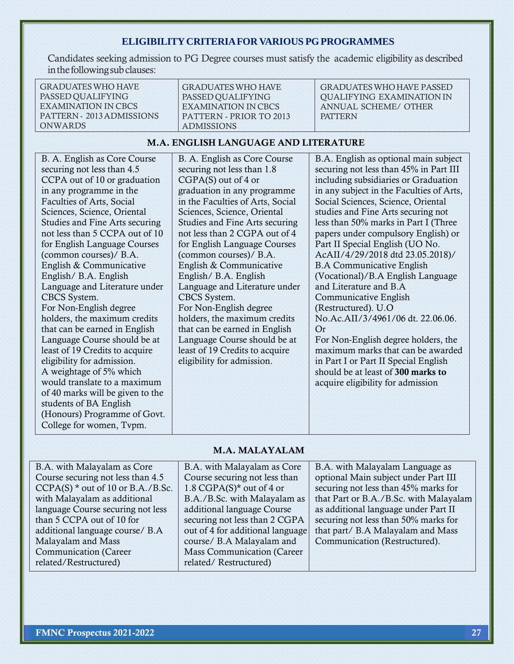## **ELIGIBILITYCRITERIAFOR VARIOUS PGPROGRAMMES**

Candidates seeking admission to PG Degree courses must satisfy the academic eligibility as described in the following sub clauses:

| <b>GRADUATES WHO HAVE</b> | <b>GRADUATES WHO HAVE</b> | <b>GRADUATES WHO HAVE PASSED</b> |
|---------------------------|---------------------------|----------------------------------|
| PASSED OUALIFYING         | PASSED OUALIFYING         | QUALIFYING EXAMINATION IN        |
| EXAMINATION IN CBCS       | EXAMINATION IN CBCS       | <b>ANNUAL SCHEME/ OTHER</b>      |
| PATTERN - 2013 ADMISSIONS | PATTERN - PRIOR TO 2013   | <b>PATTERN</b>                   |
| <b>ONWARDS</b>            | <b>ADMISSIONS</b>         |                                  |

## M.A. ENGLISH LANGUAGE AND LITERATURE

| B. A. English as Core Course     | B. A. English as Core Course     | B.A. English as optional main subject    |
|----------------------------------|----------------------------------|------------------------------------------|
| securing not less than 4.5       | securing not less than 1.8       | securing not less than 45% in Part III   |
| CCPA out of 10 or graduation     | $CGPA(S)$ out of 4 or            | including subsidiaries or Graduation     |
| in any programme in the          | graduation in any programme      | in any subject in the Faculties of Arts, |
| Faculties of Arts, Social        | in the Faculties of Arts, Social | Social Sciences, Science, Oriental       |
| Sciences, Science, Oriental      | Sciences, Science, Oriental      | studies and Fine Arts securing not       |
| Studies and Fine Arts securing   | Studies and Fine Arts securing   | less than 50% marks in Part I (Three     |
| not less than 5 CCPA out of 10   | not less than 2 CGPA out of 4    | papers under compulsory English) or      |
| for English Language Courses     | for English Language Courses     | Part II Special English (UO No.          |
| (common courses)/ B.A.           | (common courses)/ B.A.           | AcAII/4/29/2018 dtd 23.05.2018)/         |
| English & Communicative          | English & Communicative          | <b>B.A Communicative English</b>         |
| English/ B.A. English            | English/ B.A. English            | (Vocational)/B.A English Language        |
| Language and Literature under    | Language and Literature under    | and Literature and B.A.                  |
| CBCS System.                     | CBCS System.                     | Communicative English                    |
| For Non-English degree           | For Non-English degree           | (Restructured). U.O.                     |
| holders, the maximum credits     | holders, the maximum credits     | No.Ac.AII/3/4961/06 dt. 22.06.06.        |
| that can be earned in English    | that can be earned in English    | Or                                       |
| Language Course should be at     | Language Course should be at     | For Non-English degree holders, the      |
| least of 19 Credits to acquire   | least of 19 Credits to acquire   | maximum marks that can be awarded        |
| eligibility for admission.       | eligibility for admission.       | in Part I or Part II Special English     |
| A weightage of 5% which          |                                  | should be at least of 300 marks to       |
| would translate to a maximum     |                                  | acquire eligibility for admission        |
| of 40 marks will be given to the |                                  |                                          |
| students of BA English           |                                  |                                          |
| (Honours) Programme of Govt.     |                                  |                                          |
| College for women, Tvpm.         |                                  |                                          |
|                                  |                                  |                                          |

## M.A. MALAYALAM

| B.A. with Malayalam as Core         | B.A. with Malayalam as Core       | B.A. with Malayalam Language as        |
|-------------------------------------|-----------------------------------|----------------------------------------|
| Course securing not less than 4.5   | Course securing not less than     | optional Main subject under Part III   |
| $CCPA(S)$ * out of 10 or B.A./B.Sc. | 1.8 CGPA $(S)^*$ out of 4 or      | securing not less than 45% marks for   |
| with Malayalam as additional        | B.A./B.Sc. with Malayalam as      | that Part or B.A./B.Sc. with Malayalam |
| language Course securing not less   | additional language Course        | as additional language under Part II   |
| than 5 CCPA out of 10 for           | securing not less than 2 CGPA     | securing not less than 50% marks for   |
| additional language course/ B.A     | out of 4 for additional language  | that part/ B.A Malayalam and Mass      |
| Malayalam and Mass                  | course/ B.A Malayalam and         | Communication (Restructured).          |
| <b>Communication</b> (Career        | <b>Mass Communication (Career</b> |                                        |
| related/Restructured)               | related/Restructured)             |                                        |
|                                     |                                   |                                        |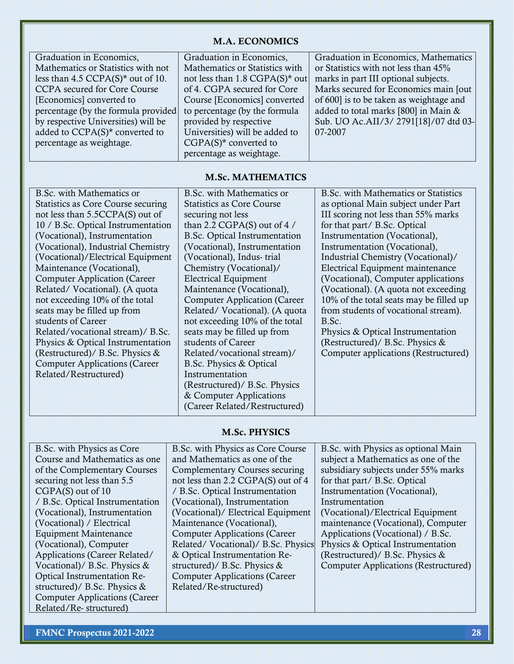## M.A. ECONOMICS

| Graduation in Economics,                        | Graduation in Economics,                  | Graduation in Economics, Mathematics   |
|-------------------------------------------------|-------------------------------------------|----------------------------------------|
| Mathematics or Statistics with not              | Mathematics or Statistics with            | or Statistics with not less than 45%   |
| less than $4.5$ CCPA(S) <sup>*</sup> out of 10. | not less than $1.8 \text{ CGPA}(S)^*$ out | marks in part III optional subjects.   |
| <b>CCPA</b> secured for Core Course             | of 4. CGPA secured for Core               | Marks secured for Economics main [out  |
| [Economics] converted to                        | Course [Economics] converted              | of 600 is to be taken as weightage and |
| percentage (by the formula provided)            | to percentage (by the formula             | added to total marks [800] in Main &   |
| by respective Universities) will be             | provided by respective                    | Sub. UO Ac.AII/3/2791[18]/07 dtd 03-   |
| added to CCPA(S)* converted to                  | Universities) will be added to            | 07-2007                                |
| percentage as weightage.                        | $CGPA(S)$ * converted to                  |                                        |
|                                                 | percentage as weightage.                  |                                        |

## M.Sc. MATHEMATICS

| B.Sc. with Mathematics or                 | B.Sc. with Mathematics or           | <b>B.Sc. with Mathematics or Statistics</b> |
|-------------------------------------------|-------------------------------------|---------------------------------------------|
| <b>Statistics as Core Course securing</b> | <b>Statistics as Core Course</b>    | as optional Main subject under Part         |
| not less than 5.5CCPA(S) out of           | securing not less                   | III scoring not less than 55% marks         |
| 10 / B.Sc. Optical Instrumentation        | than 2.2 CGPA(S) out of 4 /         | for that part/ B.Sc. Optical                |
| (Vocational), Instrumentation             | B.Sc. Optical Instrumentation       | Instrumentation (Vocational),               |
| (Vocational), Industrial Chemistry        | (Vocational), Instrumentation       | Instrumentation (Vocational),               |
| (Vocational)/Electrical Equipment         | (Vocational), Indus-trial           | Industrial Chemistry (Vocational)/          |
| Maintenance (Vocational),                 | Chemistry (Vocational)/             | <b>Electrical Equipment maintenance</b>     |
| <b>Computer Application (Career</b>       | <b>Electrical Equipment</b>         | (Vocational), Computer applications         |
| Related/Vocational). (A quota             | Maintenance (Vocational),           | (Vocational). (A quota not exceeding        |
| not exceeding 10% of the total            | <b>Computer Application (Career</b> | 10% of the total seats may be filled up     |
| seats may be filled up from               | Related/Vocational). (A quota       | from students of vocational stream).        |
| students of Career                        | not exceeding 10% of the total      | B.Sc.                                       |
| Related/vocational stream)/ B.Sc.         | seats may be filled up from         | Physics & Optical Instrumentation           |
| Physics & Optical Instrumentation         | students of Career                  | (Restructured)/ B.Sc. Physics $&$           |
| (Restructured)/ B.Sc. Physics &           | Related/vocational stream)/         | Computer applications (Restructured)        |
| <b>Computer Applications (Career</b>      | B.Sc. Physics & Optical             |                                             |
| Related/Restructured)                     | Instrumentation                     |                                             |
|                                           | (Restructured)/ B.Sc. Physics       |                                             |
|                                           | & Computer Applications             |                                             |
|                                           | (Career Related/Restructured)       |                                             |

## M.Sc. PHYSICS

| B.Sc. with Physics as Core           | B.Sc. with Physics as Core Course     | B.Sc. with Physics as optional Main         |
|--------------------------------------|---------------------------------------|---------------------------------------------|
| Course and Mathematics as one        | and Mathematics as one of the         | subject a Mathematics as one of the         |
| of the Complementary Courses         | <b>Complementary Courses securing</b> | subsidiary subjects under 55% marks         |
| securing not less than 5.5           | not less than 2.2 CGPA(S) out of 4    | for that part/ B.Sc. Optical                |
| CGPA(S) out of 10                    | / B.Sc. Optical Instrumentation       | Instrumentation (Vocational),               |
| / B.Sc. Optical Instrumentation      | (Vocational), Instrumentation         | Instrumentation                             |
| (Vocational), Instrumentation        | (Vocational)/ Electrical Equipment    | (Vocational)/Electrical Equipment           |
| (Vocational) / Electrical            | Maintenance (Vocational),             | maintenance (Vocational), Computer          |
| <b>Equipment Maintenance</b>         | <b>Computer Applications (Career</b>  | Applications (Vocational) / B.Sc.           |
| (Vocational), Computer               | Related/Vocational)/B.Sc. Physics     | Physics & Optical Instrumentation           |
| Applications (Career Related/        | & Optical Instrumentation Re-         | (Restructured)/ B.Sc. Physics &             |
| Vocational)/ B.Sc. Physics &         | structured)/ B.Sc. Physics &          | <b>Computer Applications (Restructured)</b> |
| <b>Optical Instrumentation Re-</b>   | <b>Computer Applications (Career</b>  |                                             |
| structured)/ B.Sc. Physics &         | Related/Re-structured)                |                                             |
| <b>Computer Applications (Career</b> |                                       |                                             |
| Related/Re-structured)               |                                       |                                             |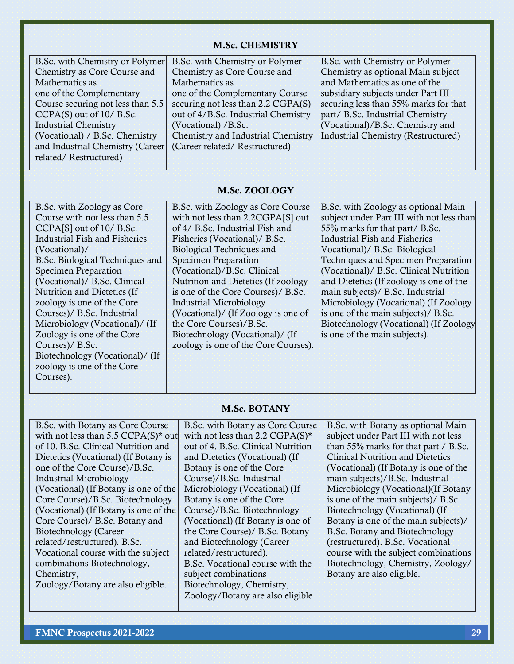## M.Sc. CHEMISTRY

| B.Sc. with Chemistry or Polymer   | B.Sc. with Chemistry or Polymer     | B.Sc. with Chemistry or Polymer            |
|-----------------------------------|-------------------------------------|--------------------------------------------|
| Chemistry as Core Course and      | Chemistry as Core Course and        | Chemistry as optional Main subject         |
| Mathematics as                    | Mathematics as                      | and Mathematics as one of the              |
| one of the Complementary          | one of the Complementary Course     | subsidiary subjects under Part III         |
| Course securing not less than 5.5 | securing not less than 2.2 CGPA(S)  | securing less than 55% marks for that      |
| CCPA(S) out of 10/ B.Sc.          | out of 4/B.Sc. Industrial Chemistry | part/ B.Sc. Industrial Chemistry           |
| <b>Industrial Chemistry</b>       | (Vocational) / B.Sc.                | (Vocational)/B.Sc. Chemistry and           |
| (Vocational) / B.Sc. Chemistry    | Chemistry and Industrial Chemistry  | <b>Industrial Chemistry (Restructured)</b> |
| and Industrial Chemistry (Career) | (Career related/Restructured)       |                                            |
| related/Restructured)             |                                     |                                            |
|                                   |                                     |                                            |

## M.Sc. ZOOLOGY

| B.Sc. with Zoology as Core      | B.Sc. with Zoology as Core Course    | B.Sc. with Zoology as optional Main        |
|---------------------------------|--------------------------------------|--------------------------------------------|
| Course with not less than 5.5   | with not less than 2.2CGPA[S] out    | subject under Part III with not less than  |
| CCPA[S] out of 10/ B.Sc.        | of 4/ B.Sc. Industrial Fish and      | 55% marks for that part/ B.Sc.             |
| Industrial Fish and Fisheries   | Fisheries (Vocational)/ B.Sc.        | Industrial Fish and Fisheries              |
| (Vocational)                    | Biological Techniques and            | Vocational)/ B.Sc. Biological              |
| B.Sc. Biological Techniques and | <b>Specimen Preparation</b>          | <b>Techniques and Specimen Preparation</b> |
| <b>Specimen Preparation</b>     | (Vocational)/B.Sc. Clinical          | (Vocational)/ B.Sc. Clinical Nutrition     |
| (Vocational)/ B.Sc. Clinical    | Nutrition and Dietetics (If zoology  | and Dietetics (If zoology is one of the    |
| Nutrition and Dietetics (If     | is one of the Core Courses)/ B.Sc.   | main subjects)/ B.Sc. Industrial           |
| zoology is one of the Core      | <b>Industrial Microbiology</b>       | Microbiology (Vocational) (If Zoology      |
| Courses)/ B.Sc. Industrial      | (Vocational)/ (If Zoology is one of  | is one of the main subjects)/ B.Sc.        |
| Microbiology (Vocational)/ (If  | the Core Courses)/B.Sc.              | Biotechnology (Vocational) (If Zoology     |
| Zoology is one of the Core      | Biotechnology (Vocational)/ (If      | is one of the main subjects).              |
| Courses)/ B.Sc.                 | zoology is one of the Core Courses). |                                            |
| Biotechnology (Vocational)/ (If |                                      |                                            |
| zoology is one of the Core      |                                      |                                            |
| Courses).                       |                                      |                                            |
|                                 |                                      |                                            |

## M.Sc. BOTANY

| B.Sc. with Botany as Core Course                  | B.Sc. with Botany as Core Course   | B.Sc. with Botany as optional Main      |
|---------------------------------------------------|------------------------------------|-----------------------------------------|
| with not less than $5.5$ CCPA(S) <sup>*</sup> out | with not less than 2.2 CGPA(S)*    | subject under Part III with not less    |
| of 10. B.Sc. Clinical Nutrition and               | out of 4. B.Sc. Clinical Nutrition | than 55% marks for that part $/$ B.Sc.  |
| Dietetics (Vocational) (If Botany is              | and Dietetics (Vocational) (If     | <b>Clinical Nutrition and Dietetics</b> |
| one of the Core Course)/B.Sc.                     | Botany is one of the Core          | (Vocational) (If Botany is one of the   |
| <b>Industrial Microbiology</b>                    | Course)/B.Sc. Industrial           | main subjects)/B.Sc. Industrial         |
| (Vocational) (If Botany is one of the             | Microbiology (Vocational) (If      | Microbiology (Vocational) (If Botany    |
| Core Course)/B.Sc. Biotechnology                  | Botany is one of the Core          | is one of the main subjects)/ B.Sc.     |
| (Vocational) (If Botany is one of the             | Course)/B.Sc. Biotechnology        | Biotechnology (Vocational) (If          |
| Core Course)/ B.Sc. Botany and                    | (Vocational) (If Botany is one of  | Botany is one of the main subjects)/    |
| <b>Biotechnology</b> (Career                      | the Core Course)/ B.Sc. Botany     | B.Sc. Botany and Biotechnology          |
| related/restructured). B.Sc.                      | and Biotechnology (Career          | (restructured). B.Sc. Vocational        |
| Vocational course with the subject                | related/restructured).             | course with the subject combinations    |
| combinations Biotechnology,                       | B.Sc. Vocational course with the   | Biotechnology, Chemistry, Zoology/      |
| Chemistry,                                        | subject combinations               | Botany are also eligible.               |
| Zoology/Botany are also eligible.                 | Biotechnology, Chemistry,          |                                         |
|                                                   | Zoology/Botany are also eligible   |                                         |
|                                                   |                                    |                                         |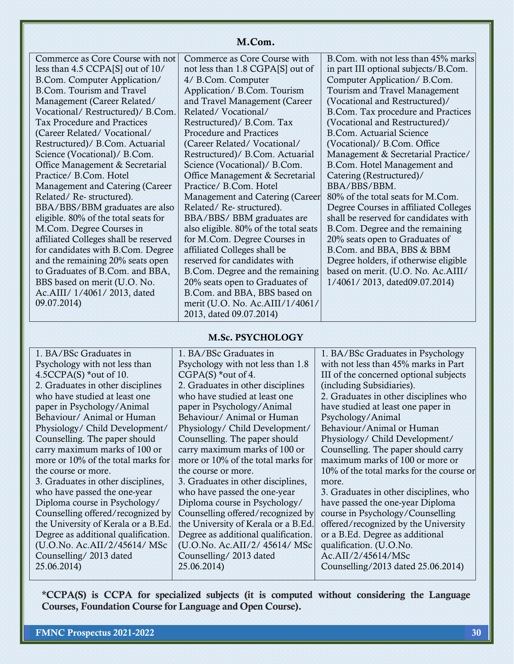## M.Com.

| Commerce as Core Course with not      | Commerce as Core Course with          | B.Com. with not less than 45% marks   |
|---------------------------------------|---------------------------------------|---------------------------------------|
| less than 4.5 CCPA[S] out of 10/      | not less than 1.8 CGPA[S] out of      | in part III optional subjects/B.Com.  |
| B.Com. Computer Application/          | 4/ B.Com. Computer                    | Computer Application/ B.Com.          |
| B.Com. Tourism and Travel             | Application/ B.Com. Tourism           | Tourism and Travel Management         |
| Management (Career Related/           | and Travel Management (Career         | (Vocational and Restructured)/        |
| Vocational/Restructured)/B.Com.       | Related/Vocational/                   | B.Com. Tax procedure and Practices    |
| <b>Tax Procedure and Practices</b>    | Restructured)/ B.Com. Tax             | (Vocational and Restructured)/        |
| (Career Related/Vocational/           | Procedure and Practices               | <b>B.Com. Actuarial Science</b>       |
| Restructured)/ B.Com. Actuarial       | (Career Related/Vocational/           | (Vocational)/ B.Com. Office           |
| Science (Vocational)/ B.Com.          | Restructured)/ B.Com. Actuarial       | Management & Secretarial Practice/    |
| Office Management & Secretarial       | Science (Vocational)/ B.Com.          | B.Com. Hotel Management and           |
| Practice/ B.Com. Hotel                | Office Management & Secretarial       | Catering (Restructured)/              |
| Management and Catering (Career       | Practice/ B.Com. Hotel                | BBA/BBS/BBM.                          |
| Related/Re-structured).               | Management and Catering (Career       | 80% of the total seats for M.Com.     |
| BBA/BBS/BBM graduates are also        | Related/Re-structured).               | Degree Courses in affiliated Colleges |
| eligible. 80% of the total seats for  | BBA/BBS/ BBM graduates are            | shall be reserved for candidates with |
| M.Com. Degree Courses in              | also eligible. 80% of the total seats | B.Com. Degree and the remaining       |
| affiliated Colleges shall be reserved | for M.Com. Degree Courses in          | 20% seats open to Graduates of        |
| for candidates with B.Com. Degree     | affiliated Colleges shall be          | B.Com. and BBA, BBS & BBM             |
| and the remaining 20% seats open      | reserved for candidates with          | Degree holders, if otherwise eligible |
| to Graduates of B.Com. and BBA,       | B.Com. Degree and the remaining       | based on merit. (U.O. No. Ac.AIII/    |
| BBS based on merit (U.O. No.          | 20% seats open to Graduates of        | 1/4061/2013, dated09.07.2014)         |
| Ac.AIII/ 1/4061/ 2013, dated          | B.Com. and BBA, BBS based on          |                                       |
| 09.07.2014)                           | merit (U.O. No. Ac.AIII/1/4061/       |                                       |
|                                       | 2013, dated 09.07.2014)               |                                       |

#### M.Sc. PSYCHOLOGY

| 1. BA/BSc Graduates in              | 1. BA/BSc Graduates in                | 1. BA/BSc Graduates in Psychology        |
|-------------------------------------|---------------------------------------|------------------------------------------|
| Psychology with not less than       | Psychology with not less than 1.8     | with not less than 45% marks in Part     |
| $4.5CCPA(S)$ *out of 10.            | $CGPA(S)$ *out of 4.                  | III of the concerned optional subjects   |
| 2. Graduates in other disciplines   | 2. Graduates in other disciplines     | (including Subsidiaries).                |
| who have studied at least one       | who have studied at least one         | 2. Graduates in other disciplines who    |
| paper in Psychology/Animal          | paper in Psychology/Animal            | have studied at least one paper in       |
| Behaviour/ Animal or Human          | Behaviour/ Animal or Human            | Psychology/Animal                        |
| Physiology/ Child Development/      | Physiology/ Child Development/        | Behaviour/Animal or Human                |
| Counselling. The paper should       | Counselling. The paper should         | Physiology/ Child Development/           |
| carry maximum marks of 100 or       | carry maximum marks of 100 or         | Counselling. The paper should carry      |
| more or 10% of the total marks for  | more or $10\%$ of the total marks for | maximum marks of 100 or more or          |
| the course or more.                 | the course or more.                   | 10% of the total marks for the course or |
| 3. Graduates in other disciplines,  | 3. Graduates in other disciplines,    | more.                                    |
| who have passed the one-year        | who have passed the one-year          | 3. Graduates in other disciplines, who   |
| Diploma course in Psychology/       | Diploma course in Psychology/         | have passed the one-year Diploma         |
| Counselling offered/recognized by   | Counselling offered/recognized by     | course in Psychology/Counselling         |
| the University of Kerala or a B.Ed. | the University of Kerala or a B.Ed.   | offered/recognized by the University     |
| Degree as additional qualification. | Degree as additional qualification.   | or a B.Ed. Degree as additional          |
| (U.O.No. Ac.AII/2/45614/ MSc        | (U.O.No. Ac.AII/2/ 45614/ MSc         | qualification. (U.O.No.                  |
| Counselling/2013 dated              | Counselling/2013 dated                | Ac.AII/2/45614/MSc                       |
| 25.06.2014)                         | 25.06.2014)                           | Counselling/2013 dated 25.06.2014)       |
|                                     |                                       |                                          |

\*CCPA(S) is CCPA for specialized subjects (it is computed without considering the Language Courses, Foundation Course for Language and Open Course).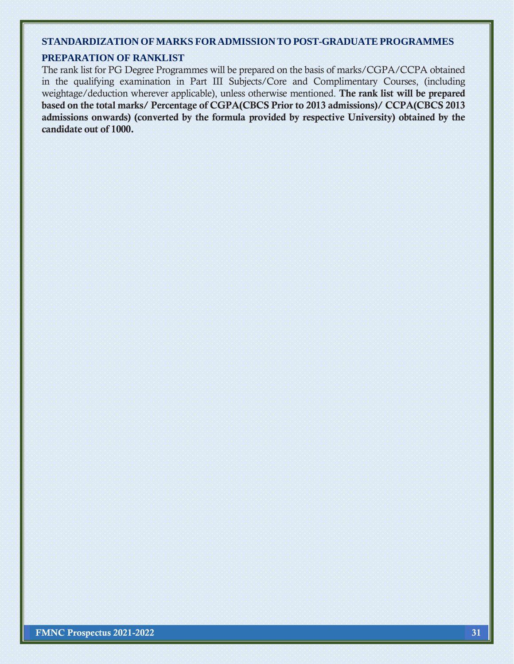### **STANDARDIZATION OFMARKS FORADMISSION TO POST-GRADUATEPROGRAMMES**

## **PREPARATION OF RANKLIST**

The rank list for PG Degree Programmes will be prepared on the basis of marks/CGPA/CCPA obtained in the qualifying examination in Part III Subjects/Core and Complimentary Courses, (including weightage/deduction wherever applicable), unless otherwise mentioned. The rank list will be prepared based on the total marks/ Percentage of CGPA(CBCS Prior to 2013 admissions)/ CCPA(CBCS 2013 admissions onwards) (converted by the formula provided by respective University) obtained by the candidate out of 1000.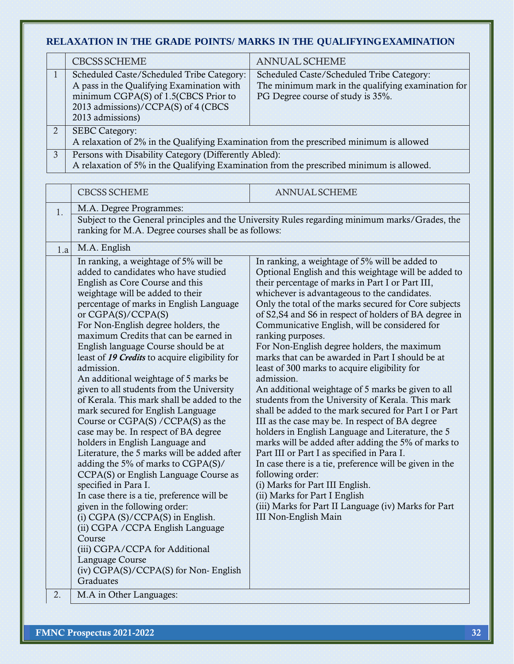## **RELAXATION IN THE GRADE POINTS/ MARKS IN THE QUALIFYINGEXAMINATION**

|                | <b>CBCSS SCHEME</b>                                                                                                                                                                       | <b>ANNUAL SCHEME</b>                                                                                                                 |  |
|----------------|-------------------------------------------------------------------------------------------------------------------------------------------------------------------------------------------|--------------------------------------------------------------------------------------------------------------------------------------|--|
|                | Scheduled Caste/Scheduled Tribe Category:<br>A pass in the Qualifying Examination with<br>minimum CGPA(S) of 1.5(CBCS Prior to<br>2013 admissions)/CCPA(S) of 4 (CBCS<br>2013 admissions) | Scheduled Caste/Scheduled Tribe Category:<br>The minimum mark in the qualifying examination for<br>PG Degree course of study is 35%. |  |
| $\overline{2}$ | <b>SEBC Category:</b><br>A relaxation of 2% in the Qualifying Examination from the prescribed minimum is allowed                                                                          |                                                                                                                                      |  |
| $\mathbf{3}$   | Persons with Disability Category (Differently Abled):<br>A relaxation of 5% in the Qualifying Examination from the prescribed minimum is allowed.                                         |                                                                                                                                      |  |

|     | <b>CBCSS SCHEME</b>                                                                                                                                                                                                                                                                                                                                                                                                                                                                                                                                                                                                                                                                                                                                                                                                                                                                                                                                                                                                                                                                                                                                                  | <b>ANNUAL SCHEME</b>                                                                                                                                                                                                                                                                                                                                                                                                                                                                                                                                                                                                                                                                                                                                                                                                                                                                                                                                                                                                                                                                                                                                                                             |  |  |
|-----|----------------------------------------------------------------------------------------------------------------------------------------------------------------------------------------------------------------------------------------------------------------------------------------------------------------------------------------------------------------------------------------------------------------------------------------------------------------------------------------------------------------------------------------------------------------------------------------------------------------------------------------------------------------------------------------------------------------------------------------------------------------------------------------------------------------------------------------------------------------------------------------------------------------------------------------------------------------------------------------------------------------------------------------------------------------------------------------------------------------------------------------------------------------------|--------------------------------------------------------------------------------------------------------------------------------------------------------------------------------------------------------------------------------------------------------------------------------------------------------------------------------------------------------------------------------------------------------------------------------------------------------------------------------------------------------------------------------------------------------------------------------------------------------------------------------------------------------------------------------------------------------------------------------------------------------------------------------------------------------------------------------------------------------------------------------------------------------------------------------------------------------------------------------------------------------------------------------------------------------------------------------------------------------------------------------------------------------------------------------------------------|--|--|
| 1.  | M.A. Degree Programmes:                                                                                                                                                                                                                                                                                                                                                                                                                                                                                                                                                                                                                                                                                                                                                                                                                                                                                                                                                                                                                                                                                                                                              |                                                                                                                                                                                                                                                                                                                                                                                                                                                                                                                                                                                                                                                                                                                                                                                                                                                                                                                                                                                                                                                                                                                                                                                                  |  |  |
|     | Subject to the General principles and the University Rules regarding minimum marks/Grades, the<br>ranking for M.A. Degree courses shall be as follows:                                                                                                                                                                                                                                                                                                                                                                                                                                                                                                                                                                                                                                                                                                                                                                                                                                                                                                                                                                                                               |                                                                                                                                                                                                                                                                                                                                                                                                                                                                                                                                                                                                                                                                                                                                                                                                                                                                                                                                                                                                                                                                                                                                                                                                  |  |  |
| 1.a | M.A. English                                                                                                                                                                                                                                                                                                                                                                                                                                                                                                                                                                                                                                                                                                                                                                                                                                                                                                                                                                                                                                                                                                                                                         |                                                                                                                                                                                                                                                                                                                                                                                                                                                                                                                                                                                                                                                                                                                                                                                                                                                                                                                                                                                                                                                                                                                                                                                                  |  |  |
| 2.  | In ranking, a weightage of 5% will be<br>added to candidates who have studied<br>English as Core Course and this<br>weightage will be added to their<br>percentage of marks in English Language<br>or CGPA(S)/CCPA(S)<br>For Non-English degree holders, the<br>maximum Credits that can be earned in<br>English language Course should be at<br>least of 19 Credits to acquire eligibility for<br>admission.<br>An additional weightage of 5 marks be<br>given to all students from the University<br>of Kerala. This mark shall be added to the<br>mark secured for English Language<br>Course or CGPA(S) / CCPA(S) as the<br>case may be. In respect of BA degree<br>holders in English Language and<br>Literature, the 5 marks will be added after<br>adding the 5% of marks to CGPA(S)/<br>CCPA(S) or English Language Course as<br>specified in Para I.<br>In case there is a tie, preference will be<br>given in the following order:<br>(i) CGPA (S)/CCPA(S) in English.<br>(ii) CGPA / CCPA English Language<br>Course<br>(iii) CGPA/CCPA for Additional<br>Language Course<br>(iv) CGPA(S)/CCPA(S) for Non-English<br>Graduates<br>M.A in Other Languages: | In ranking, a weightage of 5% will be added to<br>Optional English and this weightage will be added to<br>their percentage of marks in Part I or Part III,<br>whichever is advantageous to the candidates.<br>Only the total of the marks secured for Core subjects<br>of S2, S4 and S6 in respect of holders of BA degree in<br>Communicative English, will be considered for<br>ranking purposes.<br>For Non-English degree holders, the maximum<br>marks that can be awarded in Part I should be at<br>least of 300 marks to acquire eligibility for<br>admission.<br>An additional weightage of 5 marks be given to all<br>students from the University of Kerala. This mark<br>shall be added to the mark secured for Part I or Part<br>III as the case may be. In respect of BA degree<br>holders in English Language and Literature, the 5<br>marks will be added after adding the 5% of marks to<br>Part III or Part I as specified in Para I.<br>In case there is a tie, preference will be given in the<br>following order:<br>(i) Marks for Part III English.<br>(ii) Marks for Part I English<br>(iii) Marks for Part II Language (iv) Marks for Part<br><b>III Non-English Main</b> |  |  |
|     |                                                                                                                                                                                                                                                                                                                                                                                                                                                                                                                                                                                                                                                                                                                                                                                                                                                                                                                                                                                                                                                                                                                                                                      |                                                                                                                                                                                                                                                                                                                                                                                                                                                                                                                                                                                                                                                                                                                                                                                                                                                                                                                                                                                                                                                                                                                                                                                                  |  |  |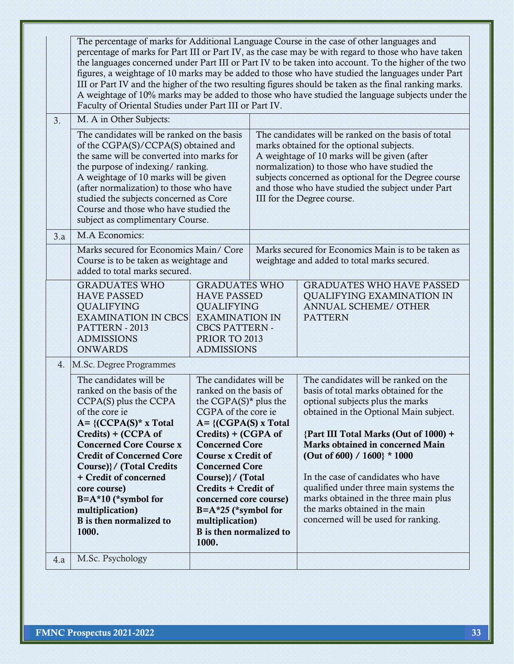|     | The percentage of marks for Additional Language Course in the case of other languages and<br>percentage of marks for Part III or Part IV, as the case may be with regard to those who have taken<br>the languages concerned under Part III or Part IV to be taken into account. To the higher of the two<br>figures, a weightage of 10 marks may be added to those who have studied the languages under Part<br>III or Part IV and the higher of the two resulting figures should be taken as the final ranking marks.<br>A weightage of 10% marks may be added to those who have studied the language subjects under the<br>Faculty of Oriental Studies under Part III or Part IV. |                                                                                                                                                                                                                                                         |                                                                                                                                                                                                                                                                                      |                                                                                                                                                                                                                                                                                                             |  |
|-----|-------------------------------------------------------------------------------------------------------------------------------------------------------------------------------------------------------------------------------------------------------------------------------------------------------------------------------------------------------------------------------------------------------------------------------------------------------------------------------------------------------------------------------------------------------------------------------------------------------------------------------------------------------------------------------------|---------------------------------------------------------------------------------------------------------------------------------------------------------------------------------------------------------------------------------------------------------|--------------------------------------------------------------------------------------------------------------------------------------------------------------------------------------------------------------------------------------------------------------------------------------|-------------------------------------------------------------------------------------------------------------------------------------------------------------------------------------------------------------------------------------------------------------------------------------------------------------|--|
| 3.  | M. A in Other Subjects:<br>The candidates will be ranked on the basis                                                                                                                                                                                                                                                                                                                                                                                                                                                                                                                                                                                                               |                                                                                                                                                                                                                                                         |                                                                                                                                                                                                                                                                                      | The candidates will be ranked on the basis of total                                                                                                                                                                                                                                                         |  |
|     | of the CGPA(S)/CCPA(S) obtained and<br>the same will be converted into marks for<br>the purpose of indexing/ranking.<br>A weightage of 10 marks will be given<br>(after normalization) to those who have<br>studied the subjects concerned as Core<br>Course and those who have studied the<br>subject as complimentary Course.                                                                                                                                                                                                                                                                                                                                                     |                                                                                                                                                                                                                                                         | marks obtained for the optional subjects.<br>A weightage of 10 marks will be given (after<br>normalization) to those who have studied the<br>subjects concerned as optional for the Degree course<br>and those who have studied the subject under Part<br>III for the Degree course. |                                                                                                                                                                                                                                                                                                             |  |
| 3.a | M.A Economics:                                                                                                                                                                                                                                                                                                                                                                                                                                                                                                                                                                                                                                                                      |                                                                                                                                                                                                                                                         |                                                                                                                                                                                                                                                                                      |                                                                                                                                                                                                                                                                                                             |  |
|     | Marks secured for Economics Main/ Core<br>Course is to be taken as weightage and<br>added to total marks secured.                                                                                                                                                                                                                                                                                                                                                                                                                                                                                                                                                                   |                                                                                                                                                                                                                                                         |                                                                                                                                                                                                                                                                                      | Marks secured for Economics Main is to be taken as<br>weightage and added to total marks secured.                                                                                                                                                                                                           |  |
|     | <b>GRADUATES WHO</b><br><b>HAVE PASSED</b><br><b>QUALIFYING</b><br><b>EXAMINATION IN CBCS</b><br>PATTERN - 2013<br><b>ADMISSIONS</b><br><b>ONWARDS</b>                                                                                                                                                                                                                                                                                                                                                                                                                                                                                                                              | <b>GRADUATES WHO</b><br><b>HAVE PASSED</b><br><b>QUALIFYING</b><br><b>EXAMINATION IN</b><br><b>CBCS PATTERN -</b><br>PRIOR TO 2013<br><b>ADMISSIONS</b>                                                                                                 |                                                                                                                                                                                                                                                                                      | <b>GRADUATES WHO HAVE PASSED</b><br><b>QUALIFYING EXAMINATION IN</b><br><b>ANNUAL SCHEME/ OTHER</b><br><b>PATTERN</b>                                                                                                                                                                                       |  |
|     | 4. M.Sc. Degree Programmes                                                                                                                                                                                                                                                                                                                                                                                                                                                                                                                                                                                                                                                          |                                                                                                                                                                                                                                                         |                                                                                                                                                                                                                                                                                      |                                                                                                                                                                                                                                                                                                             |  |
|     | The candidates will be<br>ranked on the basis of the<br>CCPA(S) plus the CCPA<br>of the core ie<br>$A = \{ (CCPA(S)^* \times Total$                                                                                                                                                                                                                                                                                                                                                                                                                                                                                                                                                 | The candidates will be<br>ranked on the basis of<br>the CGPA $(S)^*$ plus the<br>CGPA of the core ie<br>$A = \{ (CGPA(S) \times Total$                                                                                                                  |                                                                                                                                                                                                                                                                                      | The candidates will be ranked on the<br>basis of total marks obtained for the<br>optional subjects plus the marks<br>obtained in the Optional Main subject.                                                                                                                                                 |  |
|     | Credits) + (CCPA of<br><b>Concerned Core Course x</b><br><b>Credit of Concerned Core</b><br>Course)}/ (Total Credits<br>+ Credit of concerned<br>core course)<br>$B=A*10$ (*symbol for<br>multiplication)<br>B is then normalized to<br>1000.                                                                                                                                                                                                                                                                                                                                                                                                                                       | Credits) + (CGPA of<br><b>Concerned Core</b><br><b>Course x Credit of</b><br><b>Concerned Core</b><br>Course) / (Total<br>Credits + Credit of<br>concerned core course)<br>$B=A*25$ (*symbol for<br>multiplication)<br>B is then normalized to<br>1000. |                                                                                                                                                                                                                                                                                      | {Part III Total Marks (Out of 1000) +<br>Marks obtained in concerned Main<br>(Out of 600) / $1600$ * 1000<br>In the case of candidates who have<br>qualified under three main systems the<br>marks obtained in the three main plus<br>the marks obtained in the main<br>concerned will be used for ranking. |  |
| 4.a | M.Sc. Psychology                                                                                                                                                                                                                                                                                                                                                                                                                                                                                                                                                                                                                                                                    |                                                                                                                                                                                                                                                         |                                                                                                                                                                                                                                                                                      |                                                                                                                                                                                                                                                                                                             |  |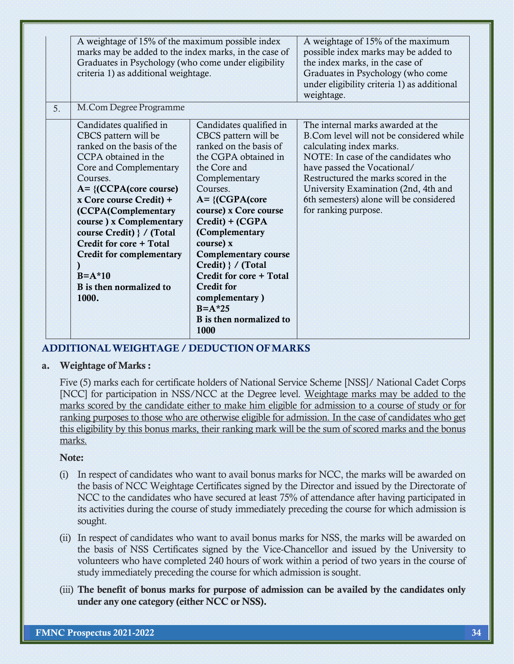|                | A weightage of 15% of the maximum possible index<br>marks may be added to the index marks, in the case of<br>Graduates in Psychology (who come under eligibility<br>criteria 1) as additional weightage.                                                                                                                                                                                            |                                                                                                                                                                                                                                                                                                                                                                                                                          | A weightage of 15% of the maximum<br>possible index marks may be added to<br>the index marks, in the case of<br>Graduates in Psychology (who come<br>under eligibility criteria 1) as additional<br>weightage.                                                                                                                     |
|----------------|-----------------------------------------------------------------------------------------------------------------------------------------------------------------------------------------------------------------------------------------------------------------------------------------------------------------------------------------------------------------------------------------------------|--------------------------------------------------------------------------------------------------------------------------------------------------------------------------------------------------------------------------------------------------------------------------------------------------------------------------------------------------------------------------------------------------------------------------|------------------------------------------------------------------------------------------------------------------------------------------------------------------------------------------------------------------------------------------------------------------------------------------------------------------------------------|
| 5 <sub>1</sub> | M.Com Degree Programme                                                                                                                                                                                                                                                                                                                                                                              |                                                                                                                                                                                                                                                                                                                                                                                                                          |                                                                                                                                                                                                                                                                                                                                    |
|                | Candidates qualified in<br>CBCS pattern will be<br>ranked on the basis of the<br>CCPA obtained in the<br>Core and Complementary<br>Courses.<br>$A = \{ (CCPA (core course)$<br>x Core course Credit) +<br>(CCPA(Complementary<br>course) x Complementary<br>course Credit) } / (Total<br>Credit for core + Total<br><b>Credit for complementary</b><br>$B=A*10$<br>B is then normalized to<br>1000. | Candidates qualified in<br>CBCS pattern will be<br>ranked on the basis of<br>the CGPA obtained in<br>the Core and<br>Complementary<br>Courses.<br>$A = \{ (CGPA)(core)$<br>course) x Core course<br>Credit) + (CGPA<br>(Complementary<br>course) x<br><b>Complementary course</b><br>Credit) } / (Total<br>Credit for core + Total<br><b>Credit for</b><br>complementary)<br>$B=A*25$<br>B is then normalized to<br>1000 | The internal marks awarded at the<br>B.Com level will not be considered while<br>calculating index marks.<br>NOTE: In case of the candidates who<br>have passed the Vocational/<br>Restructured the marks scored in the<br>University Examination (2nd, 4th and<br>6th semesters) alone will be considered<br>for ranking purpose. |

## ADDITIONALWEIGHTAGE / DEDUCTION OFMARKS

#### a. Weightage of Marks :

Five (5) marks each for certificate holders of National Service Scheme [NSS]/ National Cadet Corps [NCC] for participation in NSS/NCC at the Degree level. Weightage marks may be added to the marks scored by the candidate either to make him eligible for admission to a course of study or for ranking purposes to those who are otherwise eligible for admission. In the case of candidates who get this eligibility by this bonus marks, their ranking mark will be the sum of scored marks and the bonus marks.

## Note:

- (i) In respect of candidates who want to avail bonus marks for NCC, the marks will be awarded on the basis of NCC Weightage Certificates signed by the Director and issued by the Directorate of NCC to the candidates who have secured at least 75% of attendance after having participated in its activities during the course of study immediately preceding the course for which admission is sought.
- (ii) In respect of candidates who want to avail bonus marks for NSS, the marks will be awarded on the basis of NSS Certificates signed by the Vice-Chancellor and issued by the University to volunteers who have completed 240 hours of work within a period of two years in the course of study immediately preceding the course for which admission is sought.
- (iii) The benefit of bonus marks for purpose of admission can be availed by the candidates only under any one category (either NCC or NSS).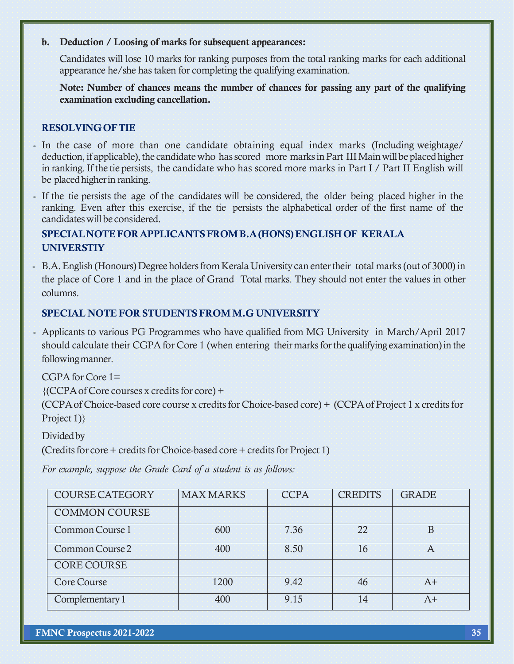## b. Deduction / Loosing of marks for subsequent appearances:

Candidates will lose 10 marks for ranking purposes from the total ranking marks for each additional appearance he/she has taken for completing the qualifying examination.

Note: Number of chances means the number of chances for passing any part of the qualifying examination excluding cancellation.

## RESOLVINGOFTIE

- In the case of more than one candidate obtaining equal index marks (Including weightage/ deduction, if applicable), the candidate who has scored more marks in Part III Main will be placed higher in ranking.If the tie persists, the candidate who has scored more marks in Part I / Part II English will be placedhigherin ranking.
- If the tie persists the age of the candidates will be considered, the older being placed higher in the ranking. Even after this exercise, if the tie persists the alphabetical order of the first name of the candidateswill be considered.

## SPECIALNOTEFORAPPLICANTSFROMB.A(HONS)ENGLISH OF KERALA **UNIVERSTIY**

B.A. English (Honours) Degree holders from Kerala University can enter their total marks (out of 3000) in the place of Core 1 and in the place of Grand Total marks. They should not enter the values in other columns.

## SPECIAL NOTE FOR STUDENTS FROM M.G UNIVERSITY

 Applicants to various PG Programmes who have qualified from MG University in March/April 2017 should calculate their CGPA for Core 1 (when entering their marks for the qualifying examination) in the followingmanner.

CGPAfor Core 1=

 ${({CCPA of Core courses x credits for core)} +}$ 

 $(CCPA of Choice-based core course x credits for Choice-based core) + (CCPA of Project 1 x credits for$ Project 1) }

Divided by

(Credits for core + credits for Choice-based core + credits for Project 1)

*For example, suppose the Grade Card of a student is as follows:*

| <b>COURSE CATEGORY</b> | <b>MAX MARKS</b> | <b>CCPA</b> | <b>CREDITS</b> | <b>GRADE</b> |
|------------------------|------------------|-------------|----------------|--------------|
| <b>COMMON COURSE</b>   |                  |             |                |              |
| Common Course 1        | 600              | 7.36        | 22             | B            |
| Common Course 2        | 400              | 8.50        | 16             | A            |
| <b>CORE COURSE</b>     |                  |             |                |              |
| <b>Core Course</b>     | 1200             | 9.42        | 46             | $A+$         |
| Complementary 1        | 400              | 9.15        | 14             | A+           |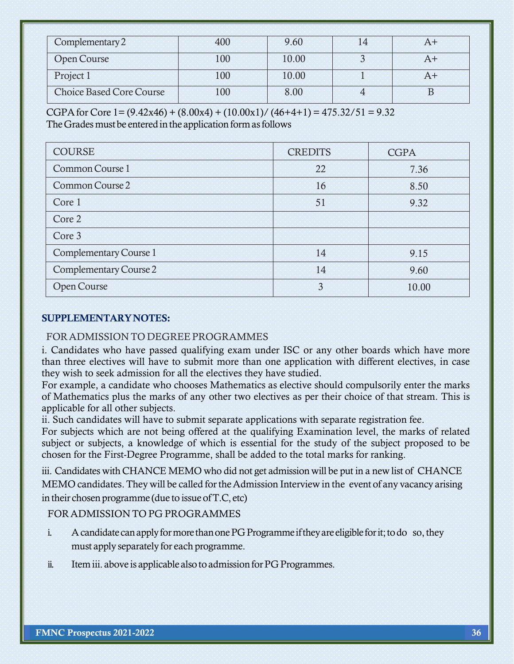| Complementary 2                 | 400 | 9.60  |  |
|---------------------------------|-----|-------|--|
| Open Course                     | 100 | 10.00 |  |
| Project 1                       | 100 | 10.00 |  |
| <b>Choice Based Core Course</b> | 100 | 8.00  |  |

CGPA for Core 1 =  $(9.42x46) + (8.00x4) + (10.00x1)/(46+4+1) = 475.32/51 = 9.32$ The Grades must be entered in the application form as follows

| <b>COURSE</b>                 | <b>CREDITS</b> | <b>CGPA</b> |
|-------------------------------|----------------|-------------|
| Common Course 1               | 22             | 7.36        |
| Common Course 2               | 16             | 8.50        |
| Core 1                        | 51             | 9.32        |
| Core 2                        |                |             |
| Core 3                        |                |             |
| <b>Complementary Course 1</b> | 14             | 9.15        |
| Complementary Course 2        | 14             | 9.60        |
| <b>Open Course</b>            | $\overline{3}$ | 10.00       |

## SUPPLEMENTARYNOTES:

## FORADMISSION TO DEGREEPROGRAMMES

i. Candidates who have passed qualifying exam under ISC or any other boards which have more than three electives will have to submit more than one application with different electives, in case they wish to seek admission for all the electives they have studied.

For example, a candidate who chooses Mathematics as elective should compulsorily enter the marks of Mathematics plus the marks of any other two electives as per their choice of that stream. This is applicable for all other subjects.

ii. Such candidates will have to submit separate applications with separate registration fee.

For subjects which are not being offered at the qualifying Examination level, the marks of related subject or subjects, a knowledge of which is essential for the study of the subject proposed to be chosen for the First-Degree Programme, shall be added to the total marks for ranking.

iii. Candidates with CHANCE MEMO who did not get admission will be put in a new list of CHANCE MEMO candidates. They will be called for the Admission Interview in the event of any vacancy arising in their chosen programme (due to issue ofT.C, etc)

## FORADMISSION TO PG PROGRAMMES

- i. A candidate can apply for more than one PG Programme if they are eligible for it; to do so, they must apply separately for each programme.
- ii. Item iii. above is applicable also to admission for PG Programmes.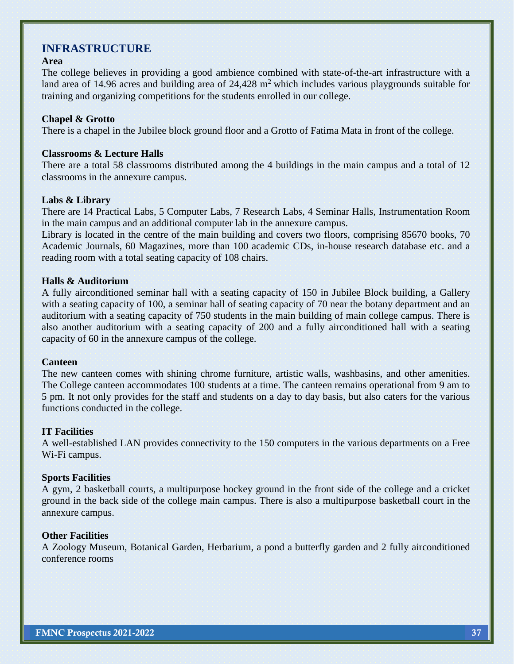## **INFRASTRUCTURE**

#### **Area**

The college believes in providing a good ambience combined with state-of-the-art infrastructure with a land area of 14.96 acres and building area of  $24,428$  m<sup>2</sup> which includes various playgrounds suitable for training and organizing competitions for the students enrolled in our college.

#### **Chapel & Grotto**

There is a chapel in the Jubilee block ground floor and a Grotto of Fatima Mata in front of the college.

#### **Classrooms & Lecture Halls**

There are a total 58 classrooms distributed among the 4 buildings in the main campus and a total of 12 classrooms in the annexure campus.

#### **Labs & Library**

There are 14 Practical Labs, 5 Computer Labs, 7 Research Labs, 4 Seminar Halls, Instrumentation Room in the main campus and an additional computer lab in the annexure campus.

Library is located in the centre of the main building and covers two floors, comprising 85670 books, 70 Academic Journals, 60 Magazines, more than 100 academic CDs, in-house research database etc. and a reading room with a total seating capacity of 108 chairs.

#### **Halls & Auditorium**

A fully airconditioned seminar hall with a seating capacity of 150 in Jubilee Block building, a Gallery with a seating capacity of 100, a seminar hall of seating capacity of 70 near the botany department and an auditorium with a seating capacity of 750 students in the main building of main college campus. There is also another auditorium with a seating capacity of 200 and a fully airconditioned hall with a seating capacity of 60 in the annexure campus of the college.

#### **Canteen**

The new canteen comes with shining chrome furniture, artistic walls, washbasins, and other amenities. The College canteen accommodates 100 students at a time. The canteen remains operational from 9 am to 5 pm. It not only provides for the staff and students on a day to day basis, but also caters for the various functions conducted in the college.

#### **IT Facilities**

A well-established LAN provides connectivity to the 150 computers in the various departments on a Free Wi-Fi campus.

#### **Sports Facilities**

A gym, 2 basketball courts, a multipurpose hockey ground in the front side of the college and a cricket ground in the back side of the college main campus. There is also a multipurpose basketball court in the annexure campus.

#### **Other Facilities**

A Zoology Museum, Botanical Garden, Herbarium, a pond a butterfly garden and 2 fully airconditioned conference rooms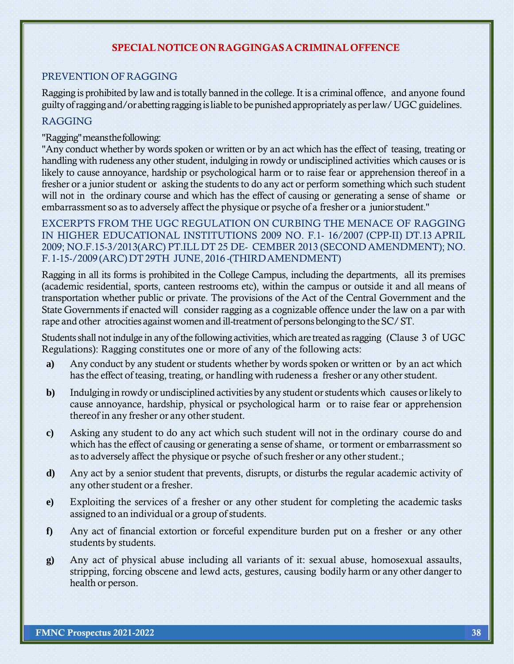## SPECIALNOTICE ON RAGGINGASACRIMINALOFFENCE

## PREVENTION OF RAGGING

Ragging is prohibited by law and is totally banned in the college. It is a criminal offence, and anyone found guiltyofraggingand/or abettingraggingisliable to bepunishedappropriatelyas perlaw/UGC guidelines.

## RAGGING

## "Ragging" means the following:

"Any conduct whether by words spoken or written or by an act which has the effect of teasing, treating or handling with rudeness any other student, indulging in rowdy or undisciplined activities which causes or is likely to cause annoyance, hardship or psychological harm or to raise fear or apprehension thereof in a fresher or a junior student or asking the students to do any act or perform something which such student will not in the ordinary course and which has the effect of causing or generating a sense of shame or embarrassment so as to adversely affect the physique or psyche of a fresher or a junior student."

EXCERPTS FROM THE UGC REGULATION ON CURBING THE MENACE OF RAGGING IN HIGHER EDUCATIONAL INSTITUTIONS 2009 NO. F.1- 16/2007 (CPP-II) DT.13 APRIL 2009; NO.F.15-3/2013(ARC) PT.ILL DT 25 DE- CEMBER 2013 (SECOND AMENDMENT); NO. F.1-15-/2009 (ARC) DT29TH JUNE, 2016 -(THIRDAMENDMENT)

Ragging in all its forms is prohibited in the College Campus, including the departments, all its premises (academic residential, sports, canteen restrooms etc), within the campus or outside it and all means of transportation whether public or private. The provisions of the Act of the Central Government and the State Governments if enacted will consider ragging as a cognizable offence under the law on a par with rape and other atrocities against women and ill-treatment of persons belonging to the SC/ ST.

Students shall not indulge in any of the following activities, which are treated as ragging (Clause 3 of UGC) Regulations): Ragging constitutes one or more of any of the following acts:

- **a)** Any conduct by any student or students whether by words spoken or written or by an act which has the effect of teasing, treating, or handling with rudeness a fresher or any other student.
- **b**) Indulging in rowdy or undisciplined activities by any student or students which causes or likely to cause annoyance, hardship, physical or psychological harm or to raise fear or apprehension thereof in any fresher or any other student.
- **c)** Asking any student to do any act which such student will not in the ordinary course do and which has the effect of causing or generating a sense of shame, or torment or embarrassment so as to adversely affect the physique or psyche of such fresher or any other student.;
- **d)** Any act by a senior student that prevents, disrupts, or disturbs the regular academic activity of any other student or a fresher.
- **e)** Exploiting the services of a fresher or any other student for completing the academic tasks assigned to an individual or a group of students.
- **f)** Any act of financial extortion or forceful expenditure burden put on a fresher or any other students by students.
- **g)** Any act of physical abuse including all variants of it: sexual abuse, homosexual assaults, stripping, forcing obscene and lewd acts, gestures, causing bodily harm or any other dangerto health or person.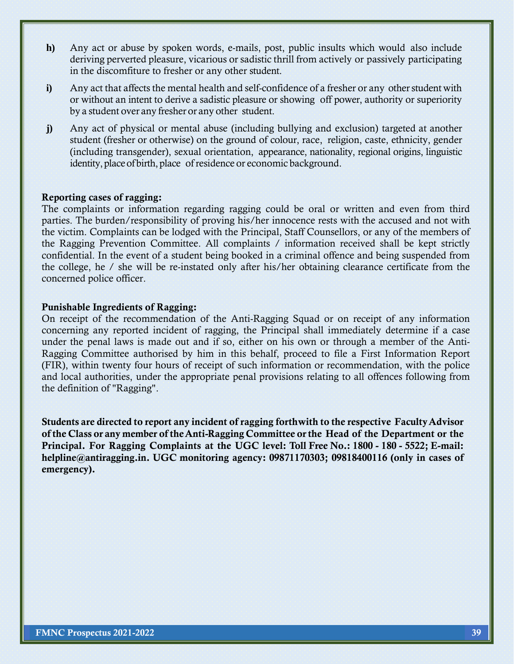- **h)** Any act or abuse by spoken words, e-mails, post, public insults which would also include deriving perverted pleasure, vicarious or sadistic thrill from actively or passively participating in the discomfiture to fresher or any other student.
- **i**) Any act that affects the mental health and self-confidence of a fresher or any other student with or without an intent to derive a sadistic pleasure or showing off power, authority or superiority by a student over any fresher or any other student.
- **j)** Any act of physical or mental abuse (including bullying and exclusion) targeted at another student (fresher or otherwise) on the ground of colour, race, religion, caste, ethnicity, gender (including transgender), sexual orientation, appearance, nationality, regional origins, linguistic identity, place of birth, place of residence or economic background.

#### Reporting cases of ragging:

The complaints or information regarding ragging could be oral or written and even from third parties. The burden/responsibility of proving his/her innocence rests with the accused and not with the victim. Complaints can be lodged with the Principal, Staff Counsellors, or any of the members of the Ragging Prevention Committee. All complaints / information received shall be kept strictly confidential. In the event of a student being booked in a criminal offence and being suspended from the college, he / she will be re-instated only after his/her obtaining clearance certificate from the concerned police officer.

#### Punishable Ingredients of Ragging:

On receipt of the recommendation of the Anti-Ragging Squad or on receipt of any information concerning any reported incident of ragging, the Principal shall immediately determine if a case under the penal laws is made out and if so, either on his own or through a member of the Anti-Ragging Committee authorised by him in this behalf, proceed to file a First Information Report (FIR), within twenty four hours of receipt of such information or recommendation, with the police and local authorities, under the appropriate penal provisions relating to all offences following from the definition of "Ragging".

Students are directed to report any incident of ragging forthwith to the respective FacultyAdvisor of the Class or any member of theAnti-Ragging Committee orthe Head of the Department or the Principal. For Ragging Complaints at the UGC level: Toll Free No.: 1800 - 180 - 5522; E-mail: [helpline@antiragging.in.](mailto:helpline@antiragging.in) UGC monitoring agency: 09871170303; 09818400116 (only in cases of emergency).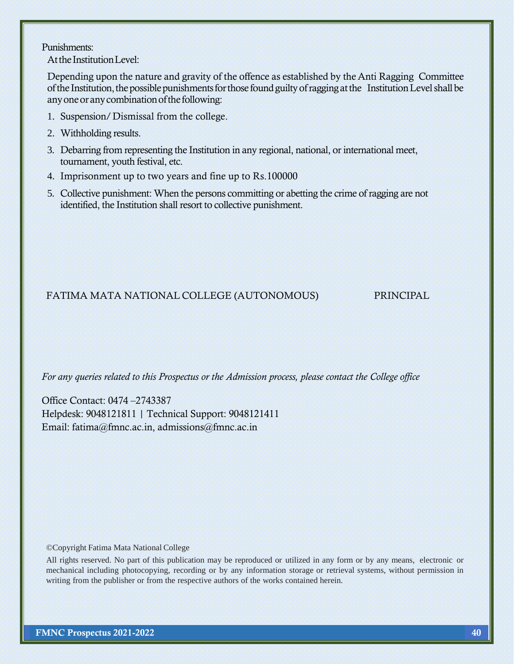Punishments:

At the Institution Level:

Depending upon the nature and gravity of the offence as established by the Anti Ragging Committee of the Institution, the possible punishments for those found guilty of ragging at the Institution Level shall be any one or any combination of the following:

- 1. Suspension/Dismissal from the college.
- 2. Withholding results.
- 3. Debarring from representing the Institution in any regional, national, or international meet, tournament, youth festival, etc.
- 4. Imprisonment up to two years and fine up to Rs.100000
- 5. Collective punishment: When the persons committing or abetting the crime of ragging are not identified, the Institution shall resort to collective punishment.

## FATIMA MATA NATIONAL COLLEGE (AUTONOMOUS) PRINCIPAL

*For any queries related to this Prospectus or the Admission process, please contact the College office*

Office Contact: 0474 –2743387 Helpdesk: 9048121811 | Technical Support: 9048121411 Email: fatima@fmnc.ac.in, admissions@fmnc.ac.in

©Copyright Fatima Mata National College

All rights reserved. No part of this publication may be reproduced or utilized in any form or by any means, electronic or mechanical including photocopying, recording or by any information storage or retrieval systems, without permission in writing from the publisher or from the respective authors of the works contained herein.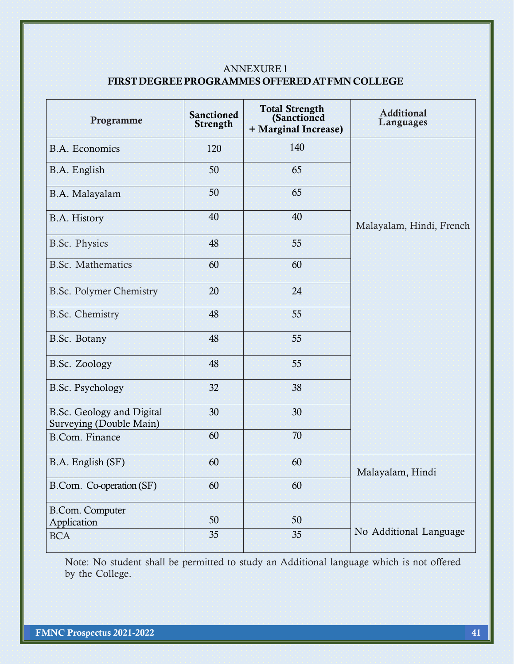## ANNEXURE1 FIRST DEGREEPROGRAMMES OFFEREDATFMN COLLEGE

| Programme                                            | <b>Sanctioned</b><br>Strength | <b>Total Strength</b><br>(Sanctioned<br>+ Marginal Increase) | <b>Additional</b><br>Languages |
|------------------------------------------------------|-------------------------------|--------------------------------------------------------------|--------------------------------|
| <b>B.A. Economics</b>                                | 120                           | 140                                                          |                                |
| B.A. English                                         | 50                            | 65                                                           |                                |
| B.A. Malayalam                                       | 50                            | 65                                                           |                                |
| <b>B.A. History</b>                                  | 40                            | 40                                                           | Malayalam, Hindi, French       |
| <b>B.Sc. Physics</b>                                 | 48                            | 55                                                           |                                |
| <b>B.Sc. Mathematics</b>                             | 60                            | 60                                                           |                                |
| <b>B.Sc. Polymer Chemistry</b>                       | 20                            | 24                                                           |                                |
| <b>B.Sc. Chemistry</b>                               | 48                            | 55 <sub>1</sub>                                              |                                |
| <b>B.Sc. Botany</b>                                  | 48                            | 55 <sub>1</sub>                                              |                                |
| B.Sc. Zoology                                        | 48                            | 55                                                           |                                |
| <b>B.Sc. Psychology</b>                              | 32                            | 38                                                           |                                |
| B.Sc. Geology and Digital<br>Surveying (Double Main) | 30                            | 30 <sup>°</sup>                                              |                                |
| <b>B.Com. Finance</b>                                | 60                            | 70                                                           |                                |
| B.A. English (SF)                                    | 60                            | 60                                                           | Malayalam, Hindi               |
| B.Com. Co-operation (SF)                             | 60                            | 60                                                           |                                |
| <b>B.Com. Computer</b><br>Application                | 50                            | 50                                                           |                                |
| <b>BCA</b>                                           | 35 <sub>1</sub>               | 35 <sub>1</sub>                                              | No Additional Language         |

Note: No student shall be permitted to study an Additional language which is not offered by the College.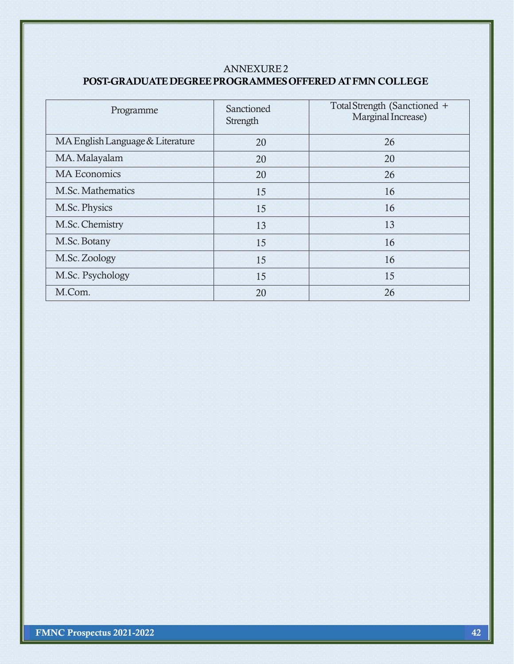#### ANNEXURE2

## POST-GRADUATEDEGREEPROGRAMMESOFFERED ATFMN COLLEGE

| Programme                        | Sanctioned<br>Strength | Total Strength (Sanctioned +<br>Marginal Increase) |
|----------------------------------|------------------------|----------------------------------------------------|
| MA English Language & Literature | 20                     | 26                                                 |
| MA. Malayalam                    | 20                     | 20                                                 |
| <b>MA Economics</b>              | 20                     | 26                                                 |
| M.Sc. Mathematics                | 15 <sup>°</sup>        | 16                                                 |
| M.Sc. Physics                    | 15 <sup>2</sup>        | 16                                                 |
| M.Sc. Chemistry                  | 13                     | 13                                                 |
| M.Sc. Botany                     | 15 <sub>1</sub>        | 16                                                 |
| M.Sc. Zoology                    | 15                     | 16                                                 |
| M.Sc. Psychology                 | 15                     | 15                                                 |
| M.Com.                           | 20                     | 26                                                 |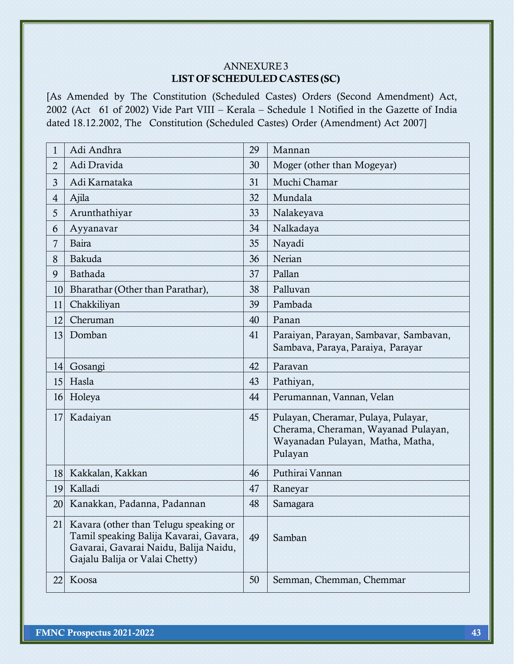## ANNEXURE3 LIST OF SCHEDULED CASTES (SC)

[As Amended by The Constitution (Scheduled Castes) Orders (Second Amendment) Act, (Act 61 of 2002) Vide Part VIII – Kerala – Schedule 1 Notified in the Gazette of India dated 18.12.2002, The Constitution (Scheduled Castes) Order (Amendment) Act 2007]

| 1               | Adi Andhra                                                                                                                                                 | 29              | Mannan                                                                                                                    |
|-----------------|------------------------------------------------------------------------------------------------------------------------------------------------------------|-----------------|---------------------------------------------------------------------------------------------------------------------------|
| $\overline{2}$  | Adi Dravida                                                                                                                                                | 30 <sub>2</sub> | Moger (other than Mogeyar)                                                                                                |
| 3 <sup>2</sup>  | Adi Karnataka                                                                                                                                              | 31              | Muchi Chamar                                                                                                              |
| $\overline{4}$  | Ajila                                                                                                                                                      | 32              | Mundala                                                                                                                   |
| $\overline{5}$  | Arunthathiyar                                                                                                                                              | 33              | Nalakeyava                                                                                                                |
| 6               | Ayyanavar                                                                                                                                                  | 34              | Nalkadaya                                                                                                                 |
| $\overline{7}$  | Baira                                                                                                                                                      | 35              | Nayadi                                                                                                                    |
| 8               | Bakuda                                                                                                                                                     | 36              | Nerian                                                                                                                    |
| 9               | Bathada                                                                                                                                                    | 37              | Pallan                                                                                                                    |
| 10              | Bharathar (Other than Parathar),                                                                                                                           | 38              | Palluvan                                                                                                                  |
| 11              | Chakkiliyan                                                                                                                                                | 39              | Pambada                                                                                                                   |
| 12 <sup>°</sup> | Cheruman                                                                                                                                                   | 40              | Panan                                                                                                                     |
| 13              | Domban                                                                                                                                                     | 41              | Paraiyan, Parayan, Sambavar, Sambavan,<br>Sambava, Paraya, Paraiya, Parayar                                               |
| 14              | Gosangi                                                                                                                                                    | 42              | Paravan                                                                                                                   |
| 15              | Hasla                                                                                                                                                      | 43              | Pathiyan,                                                                                                                 |
| 16              | Holeya                                                                                                                                                     | 44              | Perumannan, Vannan, Velan                                                                                                 |
| 17              | Kadaiyan                                                                                                                                                   | 45              | Pulayan, Cheramar, Pulaya, Pulayar,<br>Cherama, Cheraman, Wayanad Pulayan,<br>Wayanadan Pulayan, Matha, Matha,<br>Pulayan |
| 18              | Kakkalan, Kakkan                                                                                                                                           | 46              | Puthirai Vannan                                                                                                           |
| 19              | Kalladi                                                                                                                                                    | 47              | Raneyar                                                                                                                   |
| 20              | Kanakkan, Padanna, Padannan                                                                                                                                | 48              | Samagara                                                                                                                  |
| 21              | Kavara (other than Telugu speaking or<br>Tamil speaking Balija Kavarai, Gavara,<br>Gavarai, Gavarai Naidu, Balija Naidu,<br>Gajalu Balija or Valai Chetty) | 49              | Samban                                                                                                                    |
| 22              | Koosa                                                                                                                                                      | 50              | Semman, Chemman, Chemmar                                                                                                  |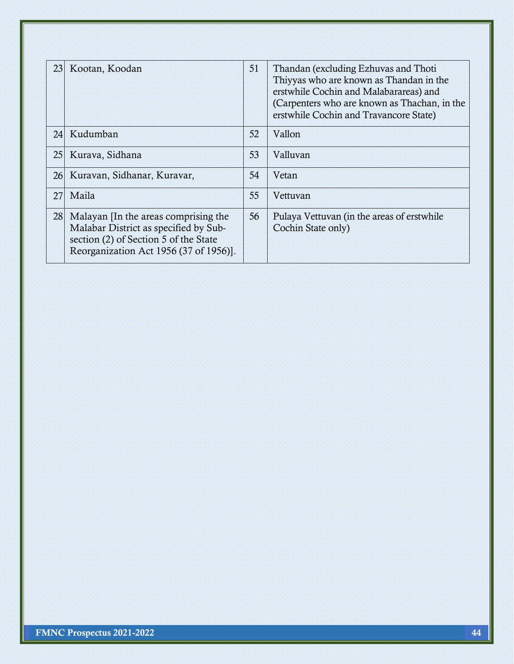| 23 | Kootan, Koodan                                                                                                                                                  | 51              | Thandan (excluding Ezhuvas and Thoti<br>Thiyyas who are known as Thandan in the<br>erstwhile Cochin and Malabarareas) and<br>(Carpenters who are known as Thachan, in the<br>erstwhile Cochin and Travancore State) |
|----|-----------------------------------------------------------------------------------------------------------------------------------------------------------------|-----------------|---------------------------------------------------------------------------------------------------------------------------------------------------------------------------------------------------------------------|
| 24 | Kudumban                                                                                                                                                        | 52              | Vallon                                                                                                                                                                                                              |
| 25 | Kurava, Sidhana                                                                                                                                                 | 53              | Valluvan                                                                                                                                                                                                            |
| 26 | Kuravan, Sidhanar, Kuravar,                                                                                                                                     | 54              | Vetan                                                                                                                                                                                                               |
| 27 | Maila                                                                                                                                                           | 55 <sub>1</sub> | Vettuvan                                                                                                                                                                                                            |
| 28 | Malayan [In the areas comprising the<br>Malabar District as specified by Sub-<br>section (2) of Section 5 of the State<br>Reorganization Act 1956 (37 of 1956). | 56              | Pulaya Vettuvan (in the areas of erstwhile<br>Cochin State only)                                                                                                                                                    |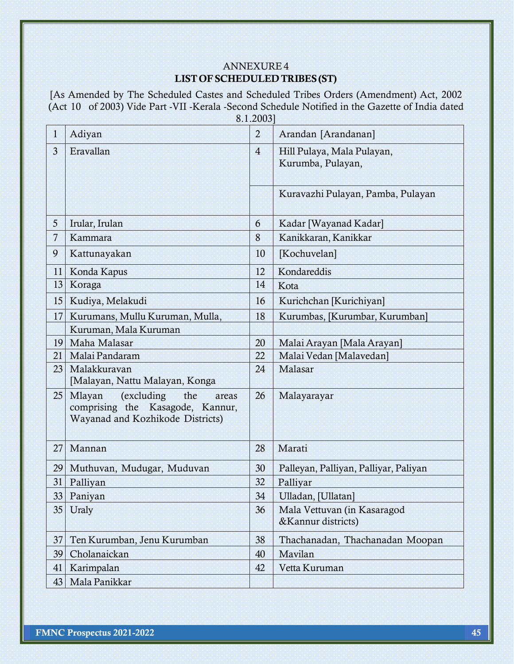## ANNEXURE4 LIST OFSCHEDULED TRIBES(ST)

[As Amended by The Scheduled Castes and Scheduled Tribes Orders (Amendment) Act, 2002 (Act 10 of 2003) Vide Part -VII -Kerala -Second Schedule Notified in the Gazette of India dated 8.1.2003]

| $\mathbf{1}$   | Adiyan                                                                                                        | $\overline{2}$ | Arandan [Arandanan]                               |
|----------------|---------------------------------------------------------------------------------------------------------------|----------------|---------------------------------------------------|
| $\overline{3}$ | Eravallan                                                                                                     | $\overline{4}$ | Hill Pulaya, Mala Pulayan,<br>Kurumba, Pulayan,   |
|                |                                                                                                               |                | Kuravazhi Pulayan, Pamba, Pulayan                 |
| $\overline{5}$ | Irular, Irulan                                                                                                | 6              | Kadar [Wayanad Kadar]                             |
| 7              | Kammara                                                                                                       | 8              | Kanikkaran, Kanikkar                              |
| 9              | Kattunayakan                                                                                                  | 10             | [Kochuvelan]                                      |
| 11             | Konda Kapus                                                                                                   | 12             | Kondareddis                                       |
| 13             | Koraga                                                                                                        | 14             | Kota                                              |
| 15             | Kudiya, Melakudi                                                                                              | 16             | Kurichchan [Kurichiyan]                           |
| 17             | Kurumans, Mullu Kuruman, Mulla,                                                                               | 18             | Kurumbas, [Kurumbar, Kurumban]                    |
|                | Kuruman, Mala Kuruman                                                                                         |                |                                                   |
| 19             | Maha Malasar                                                                                                  | 20             | Malai Arayan [Mala Arayan]                        |
| 21             | Malai Pandaram                                                                                                | 22             | Malai Vedan [Malavedan]                           |
| 23             | Malakkuravan<br>[Malayan, Nattu Malayan, Konga                                                                | 24             | Malasar                                           |
| 25             | (excluding)<br>Mlayan<br>the<br>areas<br>comprising the Kasagode, Kannur,<br>Wayanad and Kozhikode Districts) | 26             | Malayarayar                                       |
| 27             | Mannan                                                                                                        | 28             | Marati                                            |
| 29             | Muthuvan, Mudugar, Muduvan                                                                                    | 30             | Palleyan, Palliyan, Palliyar, Paliyan             |
| 31             | Palliyan                                                                                                      | 32             | Palliyar                                          |
|                | 33 Paniyan                                                                                                    | 34             | Ulladan, [Ullatan]                                |
| 35             | Uraly                                                                                                         | 36             | Mala Vettuvan (in Kasaragod<br>&Kannur districts) |
| 37             | Ten Kurumban, Jenu Kurumban                                                                                   | 38             | Thachanadan, Thachanadan Moopan                   |
| 39             | Cholanaickan                                                                                                  | 40             | Mavilan                                           |
| 41             | Karimpalan                                                                                                    | 42             | Vetta Kuruman                                     |
| 43             | Mala Panikkar                                                                                                 |                |                                                   |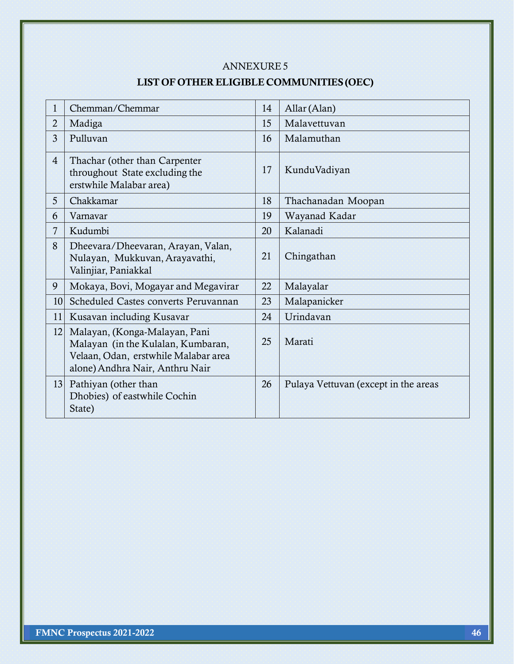## ANNEXURE 5

## LIST OF OTHER ELIGIBLE COMMUNITIES (OEC)

| $\mathbf 1$              | Chemman/Chemmar                                                                                                                                | 14 | Allar (Alan)                         |
|--------------------------|------------------------------------------------------------------------------------------------------------------------------------------------|----|--------------------------------------|
| $\overline{2}$           | Madiga                                                                                                                                         | 15 | Malavettuvan                         |
| $\overline{3}$           | Pulluvan                                                                                                                                       | 16 | Malamuthan                           |
| 4                        | Thachar (other than Carpenter<br>throughout State excluding the<br>erstwhile Malabar area)                                                     | 17 | KunduVadiyan                         |
| $\overline{5}$           | Chakkamar                                                                                                                                      | 18 | Thachanadan Moopan                   |
| 6                        | Varnavar                                                                                                                                       | 19 | Wayanad Kadar                        |
| $\overline{\mathcal{I}}$ | Kudumbi                                                                                                                                        | 20 | Kalanadi                             |
| 8                        | Dheevara/Dheevaran, Arayan, Valan,<br>Nulayan, Mukkuvan, Arayavathi,<br>Valinjiar, Paniakkal                                                   | 21 | Chingathan                           |
| $\overline{9}$           | Mokaya, Bovi, Mogayar and Megavirar                                                                                                            | 22 | Malayalar                            |
| 10                       | Scheduled Castes converts Peruvannan                                                                                                           | 23 | Malapanicker                         |
| 11                       | Kusavan including Kusavar                                                                                                                      | 24 | Urindavan                            |
| 12.                      | Malayan, (Konga-Malayan, Pani<br>Malayan (in the Kulalan, Kumbaran,<br>Velaan, Odan, erstwhile Malabar area<br>alone) Andhra Nair, Anthru Nair | 25 | Marati                               |
| 13                       | Pathiyan (other than<br>Dhobies) of eastwhile Cochin<br>State)                                                                                 | 26 | Pulaya Vettuvan (except in the areas |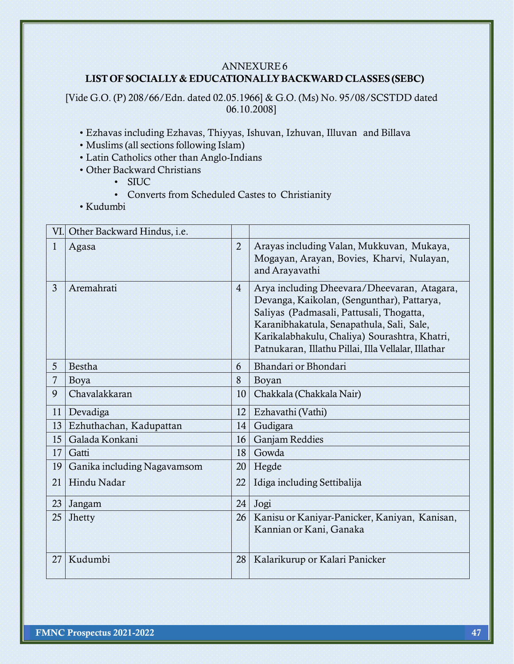## ANNEXURE6 LIST OF SOCIALLY & EDUCATIONALLY BACKWARD CLASSES (SEBC)

[Vide G.O. (P) 208/66/Edn. dated 02.05.1966] & G.O. (Ms) No. 95/08/SCSTDD dated 06.10.2008]

- Ezhavas including Ezhavas, Thiyyas, Ishuvan, Izhuvan, Illuvan and Billava
- Muslims (all sections following Islam)
- Latin Catholics other than Anglo-Indians
- Other Backward Christians
	- SIUC
	- Converts from Scheduled Castes to Christianity

• Kudumbi

| VI.            | Other Backward Hindus, i.e. |                |                                                                                                                                                                                                                                                                                            |
|----------------|-----------------------------|----------------|--------------------------------------------------------------------------------------------------------------------------------------------------------------------------------------------------------------------------------------------------------------------------------------------|
| $\mathbf{1}$   | Agasa                       | $\overline{2}$ | Arayas including Valan, Mukkuvan, Mukaya,<br>Mogayan, Arayan, Bovies, Kharvi, Nulayan,<br>and Arayavathi                                                                                                                                                                                   |
| 3 <sup>1</sup> | Aremahrati                  | $\overline{4}$ | Arya including Dheevara/Dheevaran, Atagara,<br>Devanga, Kaikolan, (Sengunthar), Pattarya,<br>Saliyas (Padmasali, Pattusali, Thogatta,<br>Karanibhakatula, Senapathula, Sali, Sale,<br>Karikalabhakulu, Chaliya) Sourashtra, Khatri,<br>Patnukaran, Illathu Pillai, Illa Vellalar, Illathar |
| 5 <sup>1</sup> | Bestha                      | 6              | Bhandari or Bhondari                                                                                                                                                                                                                                                                       |
| 7              | Boya                        | 8              | Boyan                                                                                                                                                                                                                                                                                      |
| 9              | Chavalakkaran               | 10             | Chakkala (Chakkala Nair)                                                                                                                                                                                                                                                                   |
| 11             | Devadiga                    | 12             | Ezhavathi (Vathi)                                                                                                                                                                                                                                                                          |
| 13             | Ezhuthachan, Kadupattan     | 14             | Gudigara                                                                                                                                                                                                                                                                                   |
| 15             | Galada Konkani              | 16             | <b>Ganjam Reddies</b>                                                                                                                                                                                                                                                                      |
| 17             | Gatti                       | 18             | Gowda                                                                                                                                                                                                                                                                                      |
| 19             | Ganika including Nagavamsom | 20             | Hegde                                                                                                                                                                                                                                                                                      |
| 21             | Hindu Nadar                 | 22             | Idiga including Settibalija                                                                                                                                                                                                                                                                |
| 23             | Jangam                      | 24             | Jogi                                                                                                                                                                                                                                                                                       |
| 25             | Jhetty                      | 26             | Kanisu or Kaniyar-Panicker, Kaniyan, Kanisan,<br>Kannian or Kani, Ganaka                                                                                                                                                                                                                   |
| 27             | Kudumbi                     | 28             | Kalarikurup or Kalari Panicker                                                                                                                                                                                                                                                             |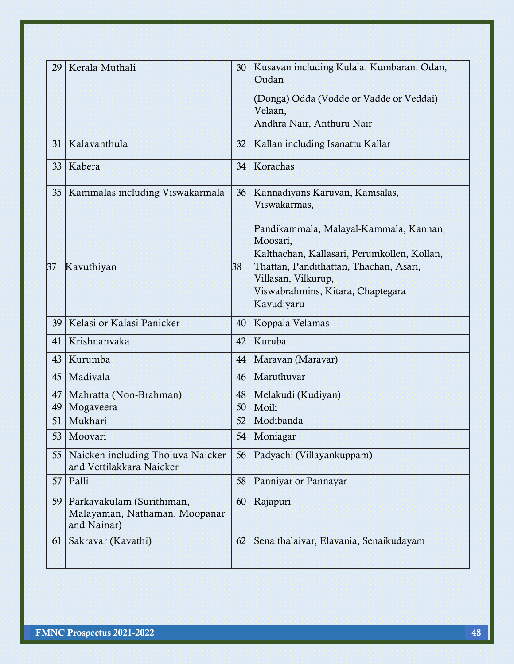| 29              | Kerala Muthali                                                            | 30 <sup>°</sup> | Kusavan including Kulala, Kumbaran, Odan,<br>Oudan                                                                                                                                                                    |
|-----------------|---------------------------------------------------------------------------|-----------------|-----------------------------------------------------------------------------------------------------------------------------------------------------------------------------------------------------------------------|
|                 |                                                                           |                 | (Donga) Odda (Vodde or Vadde or Veddai)<br>Velaan,<br>Andhra Nair, Anthuru Nair                                                                                                                                       |
| 31              | Kalavanthula                                                              | 32              | Kallan including Isanattu Kallar                                                                                                                                                                                      |
| 33              | Kabera                                                                    | 34              | Korachas                                                                                                                                                                                                              |
| 35              | Kammalas including Viswakarmala                                           | 36              | Kannadiyans Karuvan, Kamsalas,<br>Viswakarmas,                                                                                                                                                                        |
| 37              | Kavuthiyan                                                                | 38              | Pandikammala, Malayal-Kammala, Kannan,<br>Moosari,<br>Kalthachan, Kallasari, Perumkollen, Kollan,<br>Thattan, Pandithattan, Thachan, Asari,<br>Villasan, Vilkurup,<br>Viswabrahmins, Kitara, Chaptegara<br>Kavudiyaru |
| 39              | Kelasi or Kalasi Panicker                                                 | 40              | Koppala Velamas                                                                                                                                                                                                       |
| 41              | Krishnanvaka                                                              | 42              | Kuruba                                                                                                                                                                                                                |
| 43              | Kurumba                                                                   | 44              | Maravan (Maravar)                                                                                                                                                                                                     |
| 45              | Madivala                                                                  | 46              | Maruthuvar                                                                                                                                                                                                            |
| 47              | Mahratta (Non-Brahman)                                                    | 48              | Melakudi (Kudiyan)                                                                                                                                                                                                    |
| 49              | Mogaveera                                                                 | 50 <sup>°</sup> | Moili                                                                                                                                                                                                                 |
| 51              | Mukhari                                                                   | 52              | Modibanda                                                                                                                                                                                                             |
| 53              | Moovari                                                                   | 54              | Moniagar                                                                                                                                                                                                              |
| 55              | Naicken including Tholuva Naicker<br>and Vettilakkara Naicker             | 56 <sup>2</sup> | Padyachi (Villayankuppam)                                                                                                                                                                                             |
| 57              | Palli                                                                     | 58              | Panniyar or Pannayar                                                                                                                                                                                                  |
| 59 <sup>1</sup> | Parkavakulam (Surithiman,<br>Malayaman, Nathaman, Moopanar<br>and Nainar) | 60              | Rajapuri                                                                                                                                                                                                              |
| 61              | Sakravar (Kavathi)                                                        | 62              | Senaithalaivar, Elavania, Senaikudayam                                                                                                                                                                                |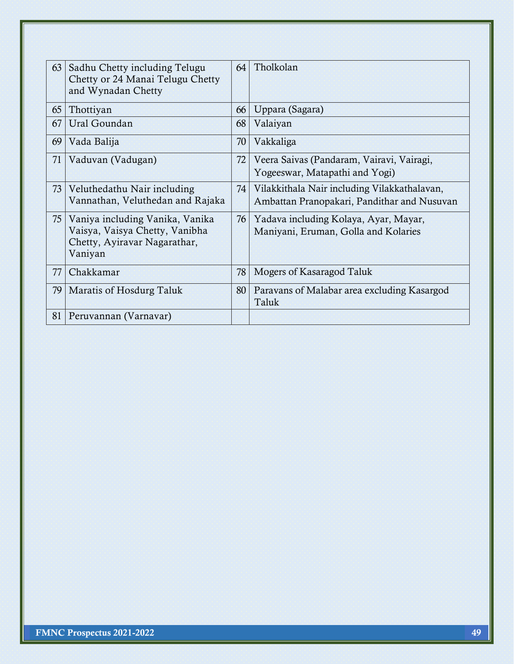| 63 | Sadhu Chetty including Telugu<br>Chetty or 24 Manai Telugu Chetty<br>and Wynadan Chetty                      | 64              | Tholkolan                                                                                   |
|----|--------------------------------------------------------------------------------------------------------------|-----------------|---------------------------------------------------------------------------------------------|
| 65 | Thottiyan                                                                                                    | 66              | Uppara (Sagara)                                                                             |
| 67 | Ural Goundan                                                                                                 | 68              | Valaiyan                                                                                    |
| 69 | Vada Balija                                                                                                  | 70 <sup>°</sup> | Vakkaliga                                                                                   |
| 71 | Vaduvan (Vadugan)                                                                                            | 72              | Veera Saivas (Pandaram, Vairavi, Vairagi,<br>Yogeeswar, Matapathi and Yogi)                 |
| 73 | Veluthedathu Nair including<br>Vannathan, Veluthedan and Rajaka                                              | 74              | Vilakkithala Nair including Vilakkathalavan,<br>Ambattan Pranopakari, Pandithar and Nusuvan |
| 75 | Vaniya including Vanika, Vanika<br>Vaisya, Vaisya Chetty, Vanibha<br>Chetty, Ayiravar Nagarathar,<br>Vaniyan | 76              | Yadava including Kolaya, Ayar, Mayar,<br>Maniyani, Eruman, Golla and Kolaries               |
| 77 | Chakkamar                                                                                                    | 78              | Mogers of Kasaragod Taluk                                                                   |
| 79 | Maratis of Hosdurg Taluk                                                                                     | 80              | Paravans of Malabar area excluding Kasargod<br>Taluk                                        |
| 81 | Peruvannan (Varnavar)                                                                                        |                 |                                                                                             |